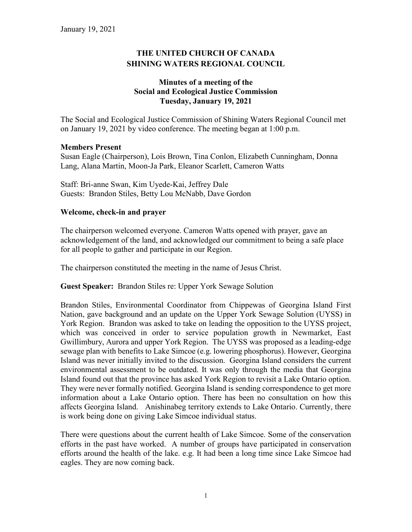# **THE UNITED CHURCH OF CANADA SHINING WATERS REGIONAL COUNCIL**

# **Minutes of a meeting of the Social and Ecological Justice Commission Tuesday, January 19, 2021**

The Social and Ecological Justice Commission of Shining Waters Regional Council met on January 19, 2021 by video conference. The meeting began at 1:00 p.m.

#### **Members Present**

Susan Eagle (Chairperson), Lois Brown, Tina Conlon, Elizabeth Cunningham, Donna Lang, Alana Martin, Moon-Ja Park, Eleanor Scarlett, Cameron Watts

Staff: Bri-anne Swan, Kim Uyede-Kai, Jeffrey Dale Guests: Brandon Stiles, Betty Lou McNabb, Dave Gordon

# **Welcome, check-in and prayer**

The chairperson welcomed everyone. Cameron Watts opened with prayer, gave an acknowledgement of the land, and acknowledged our commitment to being a safe place for all people to gather and participate in our Region.

The chairperson constituted the meeting in the name of Jesus Christ.

#### **Guest Speaker:** Brandon Stiles re: Upper York Sewage Solution

Brandon Stiles, Environmental Coordinator from Chippewas of Georgina Island First Nation, gave background and an update on the Upper York Sewage Solution (UYSS) in York Region. Brandon was asked to take on leading the opposition to the UYSS project, which was conceived in order to service population growth in Newmarket, East Gwillimbury, Aurora and upper York Region. The UYSS was proposed as a leading-edge sewage plan with benefits to Lake Simcoe (e.g. lowering phosphorus). However, Georgina Island was never initially invited to the discussion. Georgina Island considers the current environmental assessment to be outdated. It was only through the media that Georgina Island found out that the province has asked York Region to revisit a Lake Ontario option. They were never formally notified. Georgina Island is sending correspondence to get more information about a Lake Ontario option. There has been no consultation on how this affects Georgina Island. Anishinabeg territory extends to Lake Ontario. Currently, there is work being done on giving Lake Simcoe individual status.

There were questions about the current health of Lake Simcoe. Some of the conservation efforts in the past have worked. A number of groups have participated in conservation efforts around the health of the lake. e.g. It had been a long time since Lake Simcoe had eagles. They are now coming back.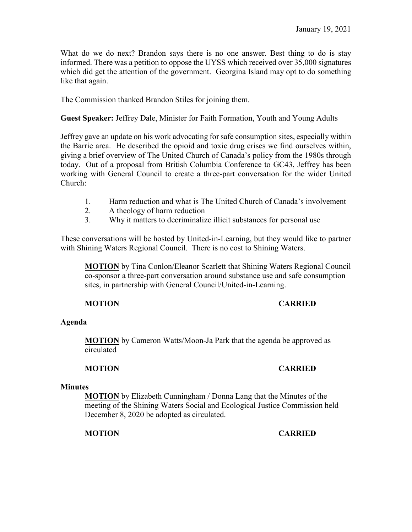What do we do next? Brandon says there is no one answer. Best thing to do is stay informed. There was a petition to oppose the UYSS which received over 35,000 signatures which did get the attention of the government. Georgina Island may opt to do something like that again.

The Commission thanked Brandon Stiles for joining them.

**Guest Speaker:** Jeffrey Dale, Minister for Faith Formation, Youth and Young Adults

Jeffrey gave an update on his work advocating for safe consumption sites, especially within the Barrie area. He described the opioid and toxic drug crises we find ourselves within, giving a brief overview of The United Church of Canada's policy from the 1980s through today. Out of a proposal from British Columbia Conference to GC43, Jeffrey has been working with General Council to create a three-part conversation for the wider United Church:

- 1. Harm reduction and what is The United Church of Canada's involvement
- 2. A theology of harm reduction
- 3. Why it matters to decriminalize illicit substances for personal use

These conversations will be hosted by United-in-Learning, but they would like to partner with Shining Waters Regional Council. There is no cost to Shining Waters.

**MOTION** by Tina Conlon/Eleanor Scarlett that Shining Waters Regional Council co-sponsor a three-part conversation around substance use and safe consumption sites, in partnership with General Council/United-in-Learning.

#### **MOTION CARRIED**

#### **Agenda**

**MOTION** by Cameron Watts/Moon-Ja Park that the agenda be approved as circulated

# **MOTION CARRIED**

#### **Minutes**

**MOTION** by Elizabeth Cunningham / Donna Lang that the Minutes of the meeting of the Shining Waters Social and Ecological Justice Commission held December 8, 2020 be adopted as circulated.

**MOTION CARRIED**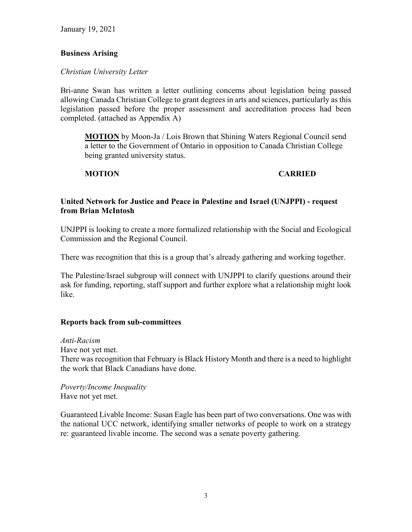January 19, 2021

#### **Business Arising**

*Christian University Letter* 

Bri-anne Swan has written a letter outlining concerns about legislation being passed allowing Canada Christian College to grant degrees in arts and sciences, particularly as this legislation passed before the proper assessment and accreditation process had been completed. (attached as Appendix A)

**MOTION** by Moon-Ja / Lois Brown that Shining Waters Regional Council send a letter to the Government of Ontario in opposition to Canada Christian College being granted university status.

# **MOTION CARRIED**

# **United Network for Justice and Peace in Palestine and Israel (UNJPPI) - request from Brian McIntosh**

UNJPPI is looking to create a more formalized relationship with the Social and Ecological Commission and the Regional Council.

There was recognition that this is a group that's already gathering and working together.

The Palestine/Israel subgroup will connect with UNJPPI to clarify questions around their ask for funding, reporting, staff support and further explore what a relationship might look like.

#### **Reports back from sub-committees**

*Anti-Racism* Have not yet met. There was recognition that February is Black History Month and there is a need to highlight the work that Black Canadians have done.

*Poverty/Income Inequality* Have not yet met.

Guaranteed Livable Income: Susan Eagle has been part of two conversations. One was with the national UCC network, identifying smaller networks of people to work on a strategy re: guaranteed livable income. The second was a senate poverty gathering.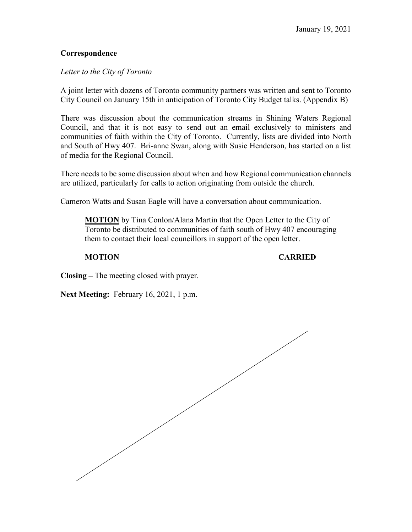# **Correspondence**

# *Letter to the City of Toronto*

A joint letter with dozens of Toronto community partners was written and sent to Toronto City Council on January 15th in anticipation of Toronto City Budget talks. (Appendix B)

There was discussion about the communication streams in Shining Waters Regional Council, and that it is not easy to send out an email exclusively to ministers and communities of faith within the City of Toronto. Currently, lists are divided into North and South of Hwy 407. Bri-anne Swan, along with Susie Henderson, has started on a list of media for the Regional Council.

There needs to be some discussion about when and how Regional communication channels are utilized, particularly for calls to action originating from outside the church.

Cameron Watts and Susan Eagle will have a conversation about communication.

**MOTION** by Tina Conlon/Alana Martin that the Open Letter to the City of Toronto be distributed to communities of faith south of Hwy 407 encouraging them to contact their local councillors in support of the open letter.

**MOTION CARRIED**

**Closing –** The meeting closed with prayer.

**Next Meeting:** February 16, 2021, 1 p.m.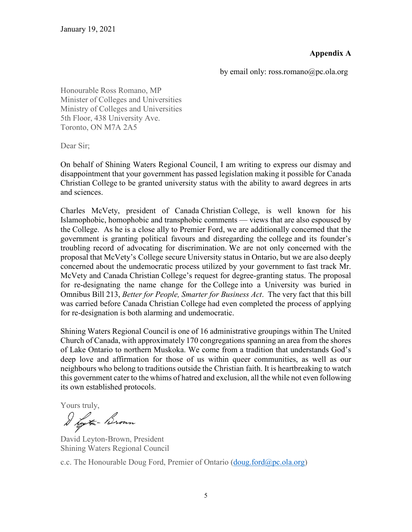# **Appendix A**

by email only: ross.romano@pc.ola.org

Honourable Ross Romano, MP Minister of Colleges and Universities Ministry of Colleges and Universities 5th Floor, 438 University Ave. Toronto, ON M7A 2A5

Dear Sir;

On behalf of Shining Waters Regional Council, I am writing to express our dismay and disappointment that your government has passed legislation making it possible for Canada Christian College to be granted university status with the ability to award degrees in arts and sciences.

Charles McVety, president of Canada Christian College, is well known for his Islamophobic, homophobic and transphobic comments — views that are also espoused by the College. As he is a close ally to Premier Ford, we are additionally concerned that the government is granting political favours and disregarding the college and its founder's troubling record of advocating for discrimination. We are not only concerned with the proposal that McVety's College secure University status in Ontario, but we are also deeply concerned about the undemocratic process utilized by your government to fast track Mr. McVety and Canada Christian College's request for degree-granting status. The proposal for re-designating the name change for the College into a University was buried in Omnibus Bill 213, *Better for People, Smarter for Business Act*. The very fact that this bill was carried before Canada Christian College had even completed the process of applying for re-designation is both alarming and undemocratic.

Shining Waters Regional Council is one of 16 administrative groupings within The United Church of Canada, with approximately 170 congregations spanning an area from the shores of Lake Ontario to northern Muskoka. We come from a tradition that understands God's deep love and affirmation for those of us within queer communities, as well as our neighbours who belong to traditions outside the Christian faith. It is heartbreaking to watch this government cater to the whims of hatred and exclusion, all the while not even following its own established protocols.

Yours truly,<br>I the town

David Leyton-Brown, President Shining Waters Regional Council

c.c. The Honourable Doug Ford, Premier of Ontario [\(doug.ford@pc.ola.org\)](mailto:doug.ford@pc.ola.org)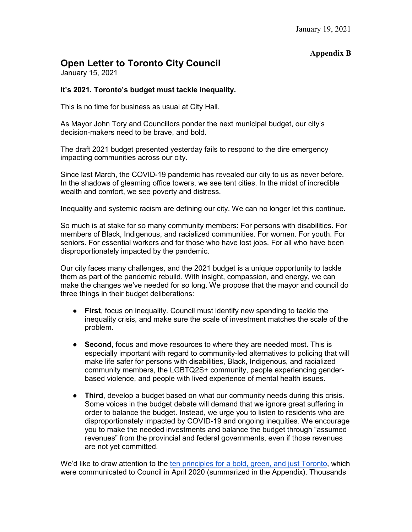# **Appendix B**

# **Open Letter to Toronto City Council**

January 15, 2021

#### **It's 2021. Toronto's budget must tackle inequality.**

This is no time for business as usual at City Hall.

As Mayor John Tory and Councillors ponder the next municipal budget, our city's decision-makers need to be brave, and bold.

The draft 2021 budget presented yesterday fails to respond to the dire emergency impacting communities across our city.

Since last March, the COVID-19 pandemic has revealed our city to us as never before. In the shadows of gleaming office towers, we see tent cities. In the midst of incredible wealth and comfort, we see poverty and distress.

Inequality and systemic racism are defining our city. We can no longer let this continue.

So much is at stake for so many community members: For persons with disabilities. For members of Black, Indigenous, and racialized communities. For women. For youth. For seniors. For essential workers and for those who have lost jobs. For all who have been disproportionately impacted by the pandemic.

Our city faces many challenges, and the 2021 budget is a unique opportunity to tackle them as part of the pandemic rebuild. With insight, compassion, and energy, we can make the changes we've needed for so long. We propose that the mayor and council do three things in their budget deliberations:

- **First**, focus on inequality. Council must identify new spending to tackle the inequality crisis, and make sure the scale of investment matches the scale of the problem.
- **• Second**, focus and move resources to where they are needed most. This is especially important with regard to community-led alternatives to policing that will make life safer for persons with disabilities, Black, Indigenous, and racialized community members, the LGBTQ2S+ community, people experiencing genderbased violence, and people with lived experience of mental health issues.
- **Third**, develop a budget based on what our community needs during this crisis. Some voices in the budget debate will demand that we ignore great suffering in order to balance the budget. Instead, we urge you to listen to residents who are disproportionately impacted by COVID-19 and ongoing inequities. We encourage you to make the needed investments and balance the budget through "assumed revenues" from the provincial and federal governments, even if those revenues are not yet committed.

We'd like to draw attention to the [ten principles for a bold, green, and just Toronto,](https://www.progresstoronto.ca/letter-bold-green-just-recovery) which were communicated to Council in April 2020 (summarized in the Appendix). Thousands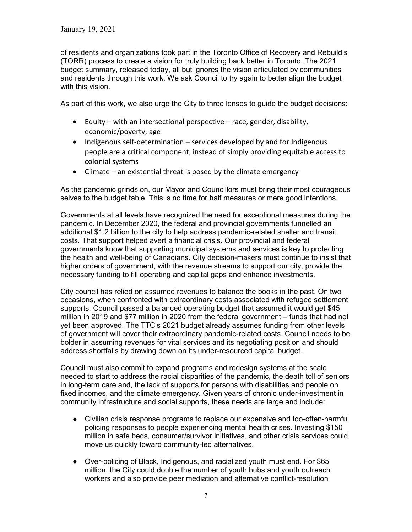of residents and organizations took part in the Toronto Office of Recovery and Rebuild's (TORR) process to create a vision for truly building back better in Toronto. The 2021 budget summary, released today, all but ignores the vision articulated by communities and residents through this work. We ask Council to try again to better align the budget with this vision.

As part of this work, we also urge the City to three lenses to guide the budget decisions:

- Equity with an intersectional perspective race, gender, disability, economic/poverty, age
- Indigenous self-determination services developed by and for Indigenous people are a critical component, instead of simply providing equitable access to colonial systems
- Climate an existential threat is posed by the climate emergency

As the pandemic grinds on, our Mayor and Councillors must bring their most courageous selves to the budget table. This is no time for half measures or mere good intentions.

Governments at all levels have recognized the need for exceptional measures during the pandemic. In December 2020, the federal and provincial governments funnelled an additional \$1.2 billion to the city to help address pandemic-related shelter and transit costs. That support helped avert a financial crisis. Our provincial and federal governments know that supporting municipal systems and services is key to protecting the health and well-being of Canadians. City decision-makers must continue to insist that higher orders of government, with the revenue streams to support our city, provide the necessary funding to fill operating and capital gaps and enhance investments.

City council has relied on assumed revenues to balance the books in the past. On two occasions, when confronted with extraordinary costs associated with refugee settlement supports, Council passed a balanced operating budget that assumed it would get \$45 million in 2019 and \$77 million in 2020 from the federal government – funds that had not yet been approved. The TTC's 2021 budget already assumes funding from other levels of government will cover their extraordinary pandemic-related costs. Council needs to be bolder in assuming revenues for vital services and its negotiating position and should address shortfalls by drawing down on its under-resourced capital budget.

Council must also commit to expand programs and redesign systems at the scale needed to start to address the racial disparities of the pandemic, the death toll of seniors in long-term care and, the lack of supports for persons with disabilities and people on fixed incomes, and the climate emergency. Given years of chronic under-investment in community infrastructure and social supports, these needs are large and include:

- Civilian crisis response programs to replace our expensive and too-often-harmful policing responses to people experiencing mental health crises. Investing \$150 million in safe beds, consumer/survivor initiatives, and other crisis services could move us quickly toward community-led alternatives.
- Over-policing of Black, Indigenous, and racialized youth must end. For \$65 million, the City could double the number of youth hubs and youth outreach workers and also provide peer mediation and alternative conflict-resolution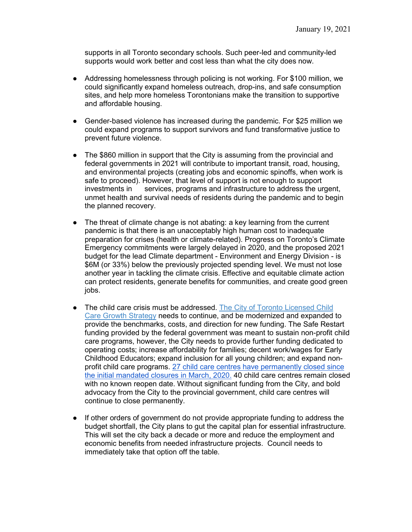supports in all Toronto secondary schools. Such peer-led and community-led supports would work better and cost less than what the city does now.

- Addressing homelessness through policing is not working. For \$100 million, we could significantly expand homeless outreach, drop-ins, and safe consumption sites, and help more homeless Torontonians make the transition to supportive and affordable housing.
- Gender-based violence has increased during the pandemic. For \$25 million we could expand programs to support survivors and fund transformative justice to prevent future violence.
- The \$860 million in support that the City is assuming from the provincial and federal governments in 2021 will contribute to important transit, road, housing, and environmental projects (creating jobs and economic spinoffs, when work is safe to proceed). However, that level of support is not enough to support investments in services, programs and infrastructure to address the urgent, unmet health and survival needs of residents during the pandemic and to begin the planned recovery.
- The threat of climate change is not abating: a key learning from the current pandemic is that there is an unacceptably high human cost to inadequate preparation for crises (health or climate-related). Progress on Toronto's Climate Emergency commitments were largely delayed in 2020, and the proposed 2021 budget for the lead Climate department - Environment and Energy Division - is \$6M (or 33%) below the previously projected spending level. We must not lose another year in tackling the climate crisis. Effective and equitable climate action can protect residents, generate benefits for communities, and create good green jobs.
- The child care crisis must be addressed. [The City of Toronto Licensed Child](https://www.toronto.ca/legdocs/mmis/2017/cd/bgrd/backgroundfile-102626.pdf)  [Care Growth Strategy](https://www.toronto.ca/legdocs/mmis/2017/cd/bgrd/backgroundfile-102626.pdf) needs to continue, and be modernized and expanded to provide the benchmarks, costs, and direction for new funding. The Safe Restart funding provided by the federal government was meant to sustain non-profit child care programs, however, the City needs to provide further funding dedicated to operating costs; increase affordability for families; decent work/wages for Early Childhood Educators; expand inclusion for all young children; and expand nonprofit child care programs. [27 child care centres have permanently closed since](https://www.toronto.ca/community-people/community-partners/early-learning-child-care-partners/training/reopening-of-early-learning-child-care/)  [the initial mandated closures in March, 2020.](https://www.toronto.ca/community-people/community-partners/early-learning-child-care-partners/training/reopening-of-early-learning-child-care/) 40 child care centres remain closed with no known reopen date. Without significant funding from the City, and bold advocacy from the City to the provincial government, child care centres will continue to close permanently.
- If other orders of government do not provide appropriate funding to address the budget shortfall, the City plans to gut the capital plan for essential infrastructure. This will set the city back a decade or more and reduce the employment and economic benefits from needed infrastructure projects. Council needs to immediately take that option off the table.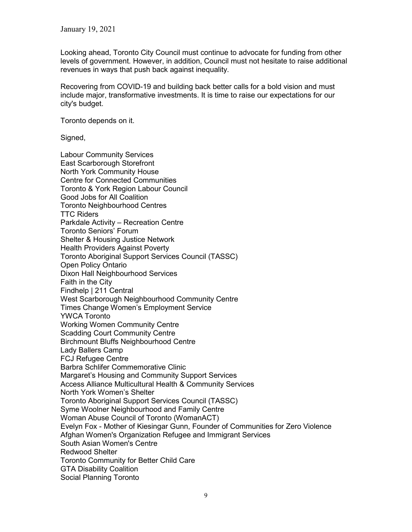Looking ahead, Toronto City Council must continue to advocate for funding from other levels of government. However, in addition, Council must not hesitate to raise additional revenues in ways that push back against inequality.

Recovering from COVID-19 and building back better calls for a bold vision and must include major, transformative investments. It is time to raise our expectations for our city's budget.

Toronto depends on it.

Signed,

Labour Community Services East Scarborough Storefront North York Community House Centre for Connected Communities Toronto & York Region Labour Council Good Jobs for All Coalition Toronto Neighbourhood Centres TTC Riders Parkdale Activity – Recreation Centre Toronto Seniors' Forum Shelter & Housing Justice Network Health Providers Against Poverty Toronto Aboriginal Support Services Council (TASSC) Open Policy Ontario Dixon Hall Neighbourhood Services Faith in the City Findhelp | 211 Central West Scarborough Neighbourhood Community Centre Times Change Women's Employment Service YWCA Toronto Working Women Community Centre Scadding Court Community Centre Birchmount Bluffs Neighbourhood Centre Lady Ballers Camp FCJ Refugee Centre Barbra Schlifer Commemorative Clini[c](https://www.schliferclinic.com/) Margaret's Housing and Community Support Services Access Alliance Multicultural Health & Community Services North York Women's Shelter Toronto Aboriginal Support Services Council (TASSC) Syme Woolner Neighbourhood and Family Centre Woman Abuse Council of Toronto (WomanACT) Evelyn Fox - Mother of Kiesingar Gunn, Founder of Communities for Zero Violence Afghan Women's Organization Refugee and Immigrant Services South Asian Women's Centre Redwood Shelter Toronto Community for Better Child Care GTA Disability Coalition Social Planning Toronto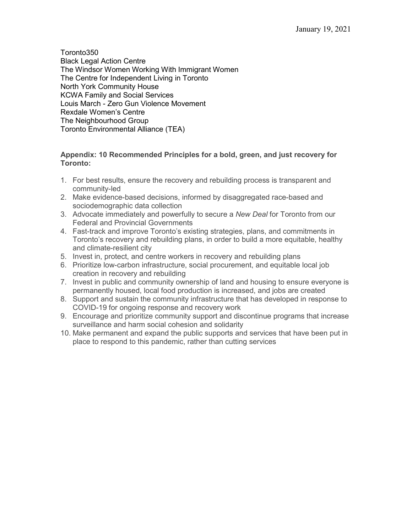Toronto350 Black Legal Action Centre The Windsor Women Working With Immigrant Women The Centre for Independent Living in Toronto North York Community House KCWA Family and Social Services Louis March - Zero Gun Violence Movement Rexdale Women's Centre The Neighbourhood Group Toronto Environmental Alliance (TEA)

#### **Appendix: 10 Recommended Principles for a bold, green, and just recovery for Toronto:**

- 1. For best results, ensure the recovery and rebuilding process is transparent and community-led
- 2. Make evidence-based decisions, informed by disaggregated race-based and sociodemographic data collection
- 3. Advocate immediately and powerfully to secure a *New Deal* for Toronto from our Federal and Provincial Governments
- 4. Fast-track and improve Toronto's existing strategies, plans, and commitments in Toronto's recovery and rebuilding plans, in order to build a more equitable, healthy and climate-resilient city
- 5. Invest in, protect, and centre workers in recovery and rebuilding plans
- 6. Prioritize low-carbon infrastructure, social procurement, and equitable local job creation in recovery and rebuilding
- 7. Invest in public and community ownership of land and housing to ensure everyone is permanently housed, local food production is increased, and jobs are created
- 8. Support and sustain the community infrastructure that has developed in response to COVID-19 for ongoing response and recovery work
- 9. Encourage and prioritize community support and discontinue programs that increase surveillance and harm social cohesion and solidarity
- 10. Make permanent and expand the public supports and services that have been put in place to respond to this pandemic, rather than cutting services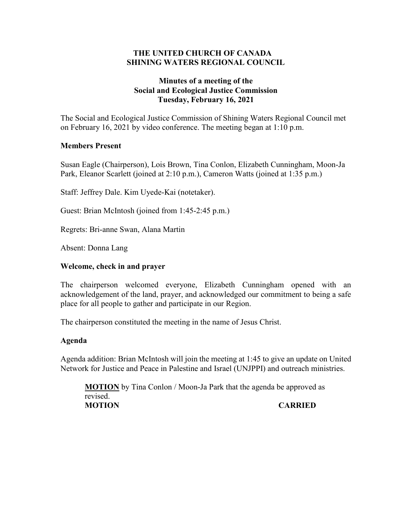### **THE UNITED CHURCH OF CANADA SHINING WATERS REGIONAL COUNCIL**

# **Minutes of a meeting of the Social and Ecological Justice Commission Tuesday, February 16, 2021**

The Social and Ecological Justice Commission of Shining Waters Regional Council met on February 16, 2021 by video conference. The meeting began at 1:10 p.m.

# **Members Present**

Susan Eagle (Chairperson), Lois Brown, Tina Conlon, Elizabeth Cunningham, Moon-Ja Park, Eleanor Scarlett (joined at 2:10 p.m.), Cameron Watts (joined at 1:35 p.m.)

Staff: Jeffrey Dale. Kim Uyede-Kai (notetaker).

Guest: Brian McIntosh (joined from 1:45-2:45 p.m.)

Regrets: Bri-anne Swan, Alana Martin

Absent: Donna Lang

#### **Welcome, check in and prayer**

The chairperson welcomed everyone, Elizabeth Cunningham opened with an acknowledgement of the land, prayer, and acknowledged our commitment to being a safe place for all people to gather and participate in our Region.

The chairperson constituted the meeting in the name of Jesus Christ.

#### **Agenda**

Agenda addition: Brian McIntosh will join the meeting at 1:45 to give an update on United Network for Justice and Peace in Palestine and Israel (UNJPPI) and outreach ministries.

**MOTION** by Tina Conlon / Moon-Ja Park that the agenda be approved as revised. **MOTION CARRIED**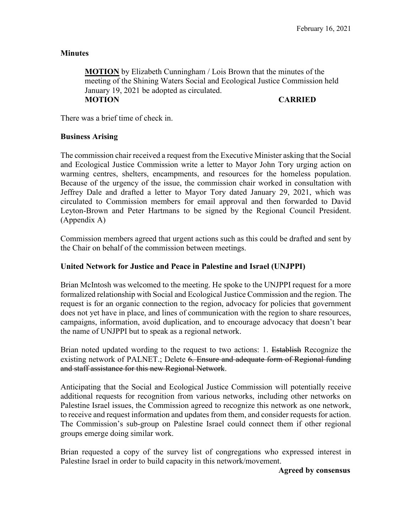### **Minutes**

**MOTION** by Elizabeth Cunningham / Lois Brown that the minutes of the meeting of the Shining Waters Social and Ecological Justice Commission held January 19, 2021 be adopted as circulated. **MOTION CARRIED**

There was a brief time of check in.

#### **Business Arising**

The commission chair received a request from the Executive Minister asking that the Social and Ecological Justice Commission write a letter to Mayor John Tory urging action on warming centres, shelters, encampments, and resources for the homeless population. Because of the urgency of the issue, the commission chair worked in consultation with Jeffrey Dale and drafted a letter to Mayor Tory dated January 29, 2021, which was circulated to Commission members for email approval and then forwarded to David Leyton-Brown and Peter Hartmans to be signed by the Regional Council President. (Appendix A)

Commission members agreed that urgent actions such as this could be drafted and sent by the Chair on behalf of the commission between meetings.

#### **United Network for Justice and Peace in Palestine and Israel (UNJPPI)**

Brian McIntosh was welcomed to the meeting. He spoke to the UNJPPI request for a more formalized relationship with Social and Ecological Justice Commission and the region. The request is for an organic connection to the region, advocacy for policies that government does not yet have in place, and lines of communication with the region to share resources, campaigns, information, avoid duplication, and to encourage advocacy that doesn't bear the name of UNJPPI but to speak as a regional network.

Brian noted updated wording to the request to two actions: 1. Establish Recognize the existing network of PALNET.; Delete 6. Ensure and adequate form of Regional funding and staff assistance for this new Regional Network.

Anticipating that the Social and Ecological Justice Commission will potentially receive additional requests for recognition from various networks, including other networks on Palestine Israel issues, the Commission agreed to recognize this network as one network, to receive and request information and updates from them, and consider requests for action. The Commission's sub-group on Palestine Israel could connect them if other regional groups emerge doing similar work.

Brian requested a copy of the survey list of congregations who expressed interest in Palestine Israel in order to build capacity in this network/movement.

**Agreed by consensus**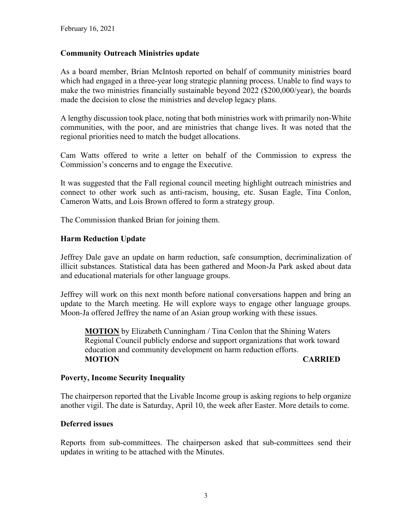# **Community Outreach Ministries update**

As a board member, Brian McIntosh reported on behalf of community ministries board which had engaged in a three-year long strategic planning process. Unable to find ways to make the two ministries financially sustainable beyond 2022 (\$200,000/year), the boards made the decision to close the ministries and develop legacy plans.

A lengthy discussion took place, noting that both ministries work with primarily non-White communities, with the poor, and are ministries that change lives. It was noted that the regional priorities need to match the budget allocations.

Cam Watts offered to write a letter on behalf of the Commission to express the Commission's concerns and to engage the Executive.

It was suggested that the Fall regional council meeting highlight outreach ministries and connect to other work such as anti-racism, housing, etc. Susan Eagle, Tina Conlon, Cameron Watts, and Lois Brown offered to form a strategy group.

The Commission thanked Brian for joining them.

# **Harm Reduction Update**

Jeffrey Dale gave an update on harm reduction, safe consumption, decriminalization of illicit substances. Statistical data has been gathered and Moon-Ja Park asked about data and educational materials for other language groups.

Jeffrey will work on this next month before national conversations happen and bring an update to the March meeting. He will explore ways to engage other language groups. Moon-Ja offered Jeffrey the name of an Asian group working with these issues.

**MOTION** by Elizabeth Cunningham / Tina Conlon that the Shining Waters Regional Council publicly endorse and support organizations that work toward education and community development on harm reduction efforts. **MOTION CARRIED**

#### **Poverty, Income Security Inequality**

The chairperson reported that the Livable Income group is asking regions to help organize another vigil. The date is Saturday, April 10, the week after Easter. More details to come.

#### **Deferred issues**

Reports from sub-committees. The chairperson asked that sub-committees send their updates in writing to be attached with the Minutes.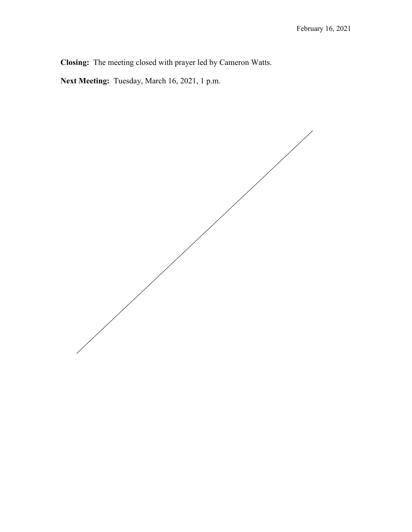**Closing:** The meeting closed with prayer led by Cameron Watts.

**Next Meeting:** Tuesday, March 16, 2021, 1 p.m.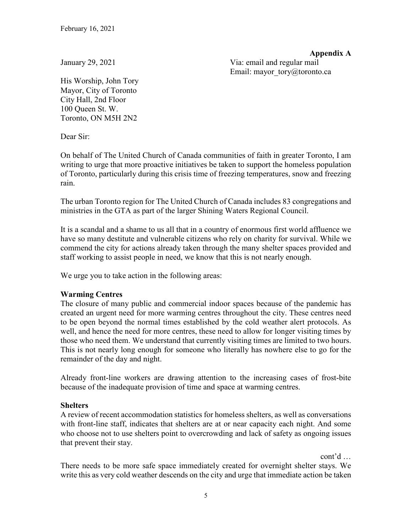**Appendix A**

January 29, 2021 Via: email and regular mail Email: mayor\_tory@toronto.ca

His Worship, John Tory Mayor, City of Toronto City Hall, 2nd Floor 100 Queen St. W. Toronto, ON M5H 2N2

Dear Sir:

On behalf of The United Church of Canada communities of faith in greater Toronto, I am writing to urge that more proactive initiatives be taken to support the homeless population of Toronto, particularly during this crisis time of freezing temperatures, snow and freezing rain.

The urban Toronto region for The United Church of Canada includes 83 congregations and ministries in the GTA as part of the larger Shining Waters Regional Council.

It is a scandal and a shame to us all that in a country of enormous first world affluence we have so many destitute and vulnerable citizens who rely on charity for survival. While we commend the city for actions already taken through the many shelter spaces provided and staff working to assist people in need, we know that this is not nearly enough.

We urge you to take action in the following areas:

# **Warming Centres**

The closure of many public and commercial indoor spaces because of the pandemic has created an urgent need for more warming centres throughout the city. These centres need to be open beyond the normal times established by the cold weather alert protocols. As well, and hence the need for more centres, these need to allow for longer visiting times by those who need them. We understand that currently visiting times are limited to two hours. This is not nearly long enough for someone who literally has nowhere else to go for the remainder of the day and night.

Already front-line workers are drawing attention to the increasing cases of frost-bite because of the inadequate provision of time and space at warming centres.

# **Shelters**

A review of recent accommodation statistics for homeless shelters, as well as conversations with front-line staff, indicates that shelters are at or near capacity each night. And some who choose not to use shelters point to overcrowding and lack of safety as ongoing issues that prevent their stay.

cont'd …

There needs to be more safe space immediately created for overnight shelter stays. We write this as very cold weather descends on the city and urge that immediate action be taken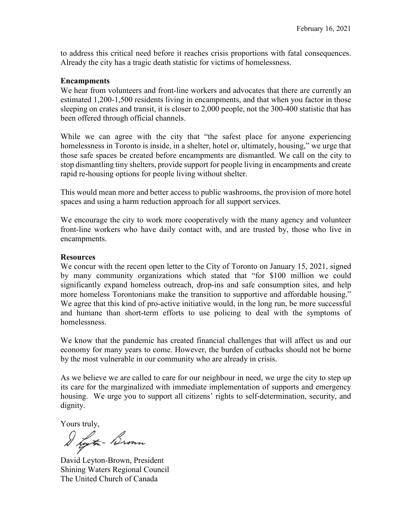to address this critical need before it reaches crisis proportions with fatal consequences. Already the city has a tragic death statistic for victims of homelessness.

#### **Encampments**

We hear from volunteers and front-line workers and advocates that there are currently an estimated 1,200-1,500 residents living in encampments, and that when you factor in those sleeping on crates and transit, it is closer to 2,000 people, not the 300-400 statistic that has been offered through official channels.

While we can agree with the city that "the safest place for anyone experiencing homelessness in Toronto is inside, in a shelter, hotel or, ultimately, housing," we urge that those safe spaces be created before encampments are dismantled. We call on the city to stop dismantling tiny shelters, provide support for people living in encampments and create rapid re-housing options for people living without shelter.

This would mean more and better access to public washrooms, the provision of more hotel spaces and using a harm reduction approach for all support services.

We encourage the city to work more cooperatively with the many agency and volunteer front-line workers who have daily contact with, and are trusted by, those who live in encampments.

#### **Resources**

We concur with the recent open letter to the City of Toronto on January 15, 2021, signed by many community organizations which stated that "for \$100 million we could significantly expand homeless outreach, drop-ins and safe consumption sites, and help more homeless Torontonians make the transition to supportive and affordable housing." We agree that this kind of pro-active initiative would, in the long run, be more successful and humane than short-term efforts to use policing to deal with the symptoms of homelessness.

We know that the pandemic has created financial challenges that will affect us and our economy for many years to come. However, the burden of cutbacks should not be borne by the most vulnerable in our community who are already in crisis.

As we believe we are called to care for our neighbour in need, we urge the city to step up its care for the marginalized with immediate implementation of supports and emergency housing. We urge you to support all citizens' rights to self-determination, security, and dignity.

Yours truly,

I hytm- Brown

David Leyton-Brown, President Shining Waters Regional Council The United Church of Canada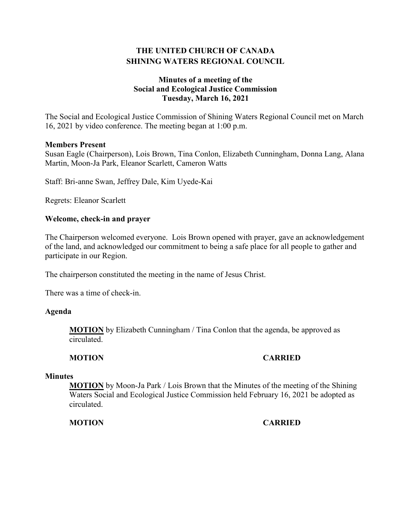# **THE UNITED CHURCH OF CANADA SHINING WATERS REGIONAL COUNCIL**

# **Minutes of a meeting of the Social and Ecological Justice Commission Tuesday, March 16, 2021**

The Social and Ecological Justice Commission of Shining Waters Regional Council met on March 16, 2021 by video conference. The meeting began at 1:00 p.m.

#### **Members Present**

Susan Eagle (Chairperson), Lois Brown, Tina Conlon, Elizabeth Cunningham, Donna Lang, Alana Martin, Moon-Ja Park, Eleanor Scarlett, Cameron Watts

Staff: Bri-anne Swan, Jeffrey Dale, Kim Uyede-Kai

Regrets: Eleanor Scarlett

#### **Welcome, check-in and prayer**

The Chairperson welcomed everyone. Lois Brown opened with prayer, gave an acknowledgement of the land, and acknowledged our commitment to being a safe place for all people to gather and participate in our Region.

The chairperson constituted the meeting in the name of Jesus Christ.

There was a time of check-in.

#### **Agenda**

**MOTION** by Elizabeth Cunningham / Tina Conlon that the agenda, be approved as circulated.

#### **MOTION CARRIED**

#### **Minutes**

**MOTION** by Moon-Ja Park / Lois Brown that the Minutes of the meeting of the Shining Waters Social and Ecological Justice Commission held February 16, 2021 be adopted as circulated.

#### **MOTION CARRIED**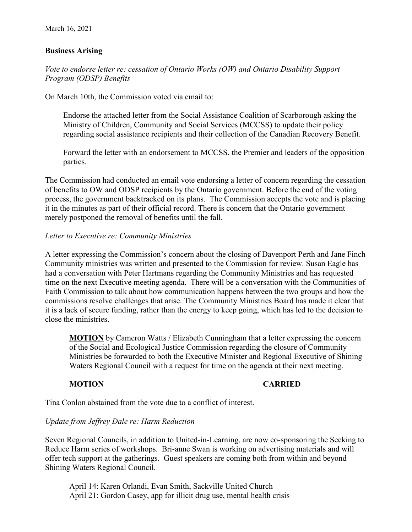# **Business Arising**

*Vote to endorse letter re: cessation of Ontario Works (OW) and Ontario Disability Support Program (ODSP) Benefits*

On March 10th, the Commission voted via email to:

Endorse the attached letter from the Social Assistance Coalition of Scarborough asking the Ministry of Children, Community and Social Services (MCCSS) to update their policy regarding social assistance recipients and their collection of the Canadian Recovery Benefit.

Forward the letter with an endorsement to MCCSS, the Premier and leaders of the opposition parties.

The Commission had conducted an email vote endorsing a letter of concern regarding the cessation of benefits to OW and ODSP recipients by the Ontario government. Before the end of the voting process, the government backtracked on its plans. The Commission accepts the vote and is placing it in the minutes as part of their official record. There is concern that the Ontario government merely postponed the removal of benefits until the fall.

#### *Letter to Executive re: Community Ministries*

A letter expressing the Commission's concern about the closing of Davenport Perth and Jane Finch Community ministries was written and presented to the Commission for review. Susan Eagle has had a conversation with Peter Hartmans regarding the Community Ministries and has requested time on the next Executive meeting agenda. There will be a conversation with the Communities of Faith Commission to talk about how communication happens between the two groups and how the commissions resolve challenges that arise. The Community Ministries Board has made it clear that it is a lack of secure funding, rather than the energy to keep going, which has led to the decision to close the ministries.

**MOTION** by Cameron Watts / Elizabeth Cunningham that a letter expressing the concern of the Social and Ecological Justice Commission regarding the closure of Community Ministries be forwarded to both the Executive Minister and Regional Executive of Shining Waters Regional Council with a request for time on the agenda at their next meeting.

#### **MOTION CARRIED**

Tina Conlon abstained from the vote due to a conflict of interest.

# *Update from Jeffrey Dale re: Harm Reduction*

Seven Regional Councils, in addition to United-in-Learning, are now co-sponsoring the Seeking to Reduce Harm series of workshops. Bri-anne Swan is working on advertising materials and will offer tech support at the gatherings. Guest speakers are coming both from within and beyond Shining Waters Regional Council.

April 14: Karen Orlandi, Evan Smith, Sackville United Church April 21: Gordon Casey, app for illicit drug use, mental health crisis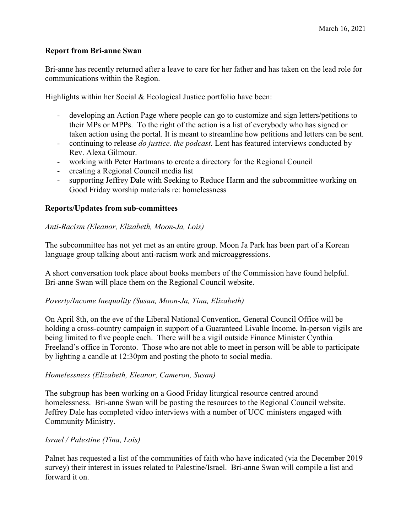# **Report from Bri-anne Swan**

Bri-anne has recently returned after a leave to care for her father and has taken on the lead role for communications within the Region.

Highlights within her Social & Ecological Justice portfolio have been:

- developing an Action Page where people can go to customize and sign letters/petitions to their MPs or MPPs. To the right of the action is a list of everybody who has signed or taken action using the portal. It is meant to streamline how petitions and letters can be sent.
- continuing to release *do justice. the podcast*. Lent has featured interviews conducted by Rev. Alexa Gilmour.
- working with Peter Hartmans to create a directory for the Regional Council
- creating a Regional Council media list
- supporting Jeffrey Dale with Seeking to Reduce Harm and the subcommittee working on Good Friday worship materials re: homelessness

# **Reports/Updates from sub-committees**

#### *Anti-Racism (Eleanor, Elizabeth, Moon-Ja, Lois)*

The subcommittee has not yet met as an entire group. Moon Ja Park has been part of a Korean language group talking about anti-racism work and microaggressions.

A short conversation took place about books members of the Commission have found helpful. Bri-anne Swan will place them on the Regional Council website.

#### *Poverty/Income Inequality (Susan, Moon-Ja, Tina, Elizabeth)*

On April 8th, on the eve of the Liberal National Convention, General Council Office will be holding a cross-country campaign in support of a Guaranteed Livable Income. In-person vigils are being limited to five people each. There will be a vigil outside Finance Minister Cynthia Freeland's office in Toronto. Those who are not able to meet in person will be able to participate by lighting a candle at 12:30pm and posting the photo to social media.

#### *Homelessness (Elizabeth, Eleanor, Cameron, Susan)*

The subgroup has been working on a Good Friday liturgical resource centred around homelessness. Bri-anne Swan will be posting the resources to the Regional Council website. Jeffrey Dale has completed video interviews with a number of UCC ministers engaged with Community Ministry.

#### *Israel / Palestine (Tina, Lois)*

Palnet has requested a list of the communities of faith who have indicated (via the December 2019 survey) their interest in issues related to Palestine/Israel. Bri-anne Swan will compile a list and forward it on.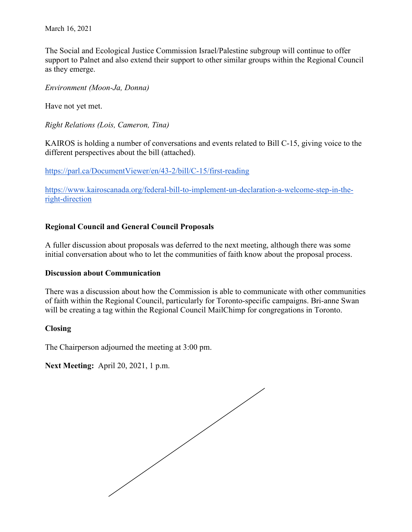The Social and Ecological Justice Commission Israel/Palestine subgroup will continue to offer support to Palnet and also extend their support to other similar groups within the Regional Council as they emerge.

*Environment (Moon-Ja, Donna)*

Have not yet met.

*Right Relations (Lois, Cameron, Tina)*

KAIROS is holding a number of conversations and events related to Bill C-15, giving voice to the different perspectives about the bill (attached).

<https://parl.ca/DocumentViewer/en/43-2/bill/C-15/first-reading>

[https://www.kairoscanada.org/federal-bill-to-implement-un-declaration-a-welcome-step-in-the](https://www.kairoscanada.org/federal-bill-to-implement-un-declaration-a-welcome-step-in-the-right-direction)[right-direction](https://www.kairoscanada.org/federal-bill-to-implement-un-declaration-a-welcome-step-in-the-right-direction)

#### **Regional Council and General Council Proposals**

A fuller discussion about proposals was deferred to the next meeting, although there was some initial conversation about who to let the communities of faith know about the proposal process.

#### **Discussion about Communication**

There was a discussion about how the Commission is able to communicate with other communities of faith within the Regional Council, particularly for Toronto-specific campaigns. Bri-anne Swan will be creating a tag within the Regional Council MailChimp for congregations in Toronto.

#### **Closing**

The Chairperson adjourned the meeting at 3:00 pm.

**Next Meeting:** April 20, 2021, 1 p.m.

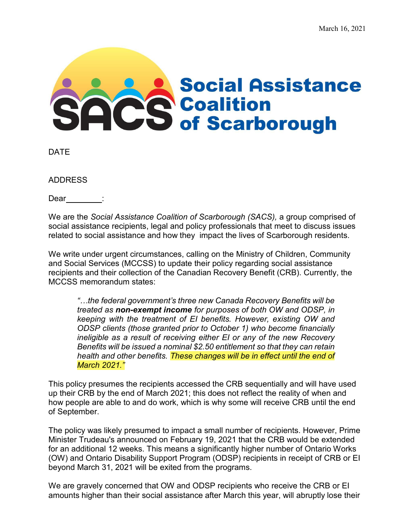# **Social Assistance COS** Social Assistand<br>COS of Scarborough

DATE

ADDRESS

Dear :

We are the *Social Assistance Coalition of Scarborough (SACS),* a group comprised of social assistance recipients, legal and policy professionals that meet to discuss issues related to social assistance and how they impact the lives of Scarborough residents.

We write under urgent circumstances, calling on the Ministry of Children, Community and Social Services (MCCSS) to update their policy regarding social assistance recipients and their collection of the Canadian Recovery Benefit (CRB). Currently, the MCCSS memorandum states:

*"…the federal government's three new Canada Recovery Benefits will be treated as non-exempt income for purposes of both OW and ODSP, in keeping with the treatment of EI benefits. However, existing OW and ODSP clients (those granted prior to October 1) who become financially ineligible as a result of receiving either EI or any of the new Recovery Benefits will be issued a nominal \$2.50 entitlement so that they can retain health and other benefits. These changes will be in effect until the end of March 2021."*

This policy presumes the recipients accessed the CRB sequentially and will have used up their CRB by the end of March 2021; this does not reflect the reality of when and how people are able to and do work, which is why some will receive CRB until the end of September.

The policy was likely presumed to impact a small number of recipients. However, Prime Minister Trudeau's announced on February 19, 2021 that the CRB would be extended for an additional 12 weeks. This means a significantly higher number of Ontario Works (OW) and Ontario Disability Support Program (ODSP) recipients in receipt of CRB or EI beyond March 31, 2021 will be exited from the programs.

We are gravely concerned that OW and ODSP recipients who receive the CRB or EI amounts higher than their social assistance after March this year, will abruptly lose their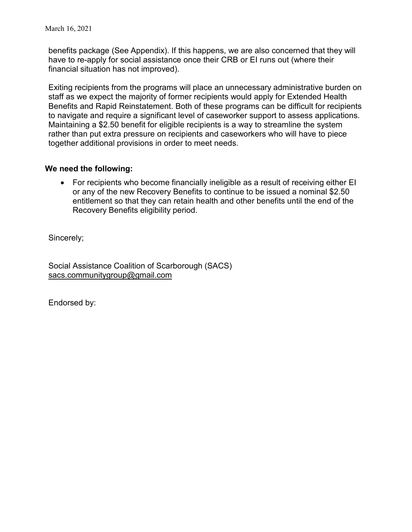benefits package (See Appendix). If this happens, we are also concerned that they will have to re-apply for social assistance once their CRB or EI runs out (where their financial situation has not improved).

Exiting recipients from the programs will place an unnecessary administrative burden on staff as we expect the majority of former recipients would apply for Extended Health Benefits and Rapid Reinstatement. Both of these programs can be difficult for recipients to navigate and require a significant level of caseworker support to assess applications. Maintaining a \$2.50 benefit for eligible recipients is a way to streamline the system rather than put extra pressure on recipients and caseworkers who will have to piece together additional provisions in order to meet needs.

# **We need the following:**

• For recipients who become financially ineligible as a result of receiving either EI or any of the new Recovery Benefits to continue to be issued a nominal \$2.50 entitlement so that they can retain health and other benefits until the end of the Recovery Benefits eligibility period.

Sincerely;

Social Assistance Coalition of Scarborough (SACS) [sacs.communitygroup@gmail.com](mailto:sacs.communitygroup@gmail.com)

Endorsed by: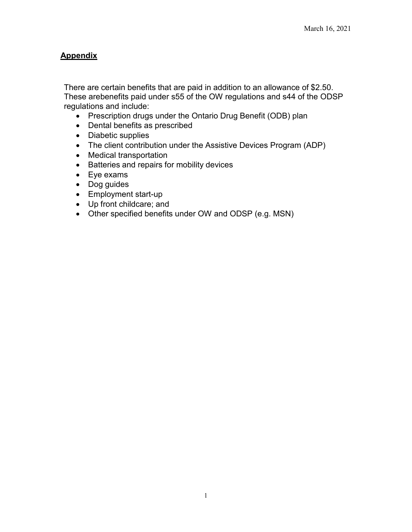# **Appendix**

There are certain benefits that are paid in addition to an allowance of \$2.50. These arebenefits paid under s55 of the OW regulations and s44 of the ODSP regulations and include:

- Prescription drugs under the Ontario Drug Benefit (ODB) plan
- Dental benefits as prescribed
- Diabetic supplies
- The client contribution under the Assistive Devices Program (ADP)
- Medical transportation
- Batteries and repairs for mobility devices
- Eye exams
- Dog guides
- Employment start-up
- Up front childcare; and
- Other specified benefits under OW and ODSP (e.g. MSN)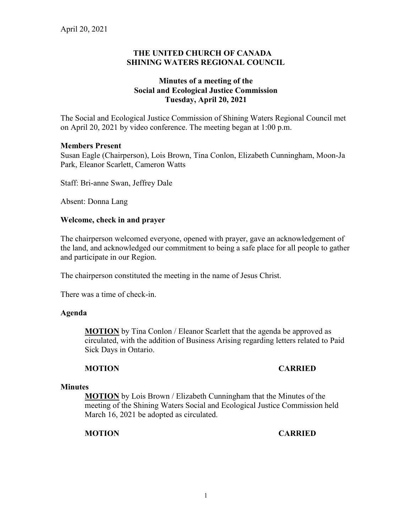# **THE UNITED CHURCH OF CANADA SHINING WATERS REGIONAL COUNCIL**

# **Minutes of a meeting of the Social and Ecological Justice Commission Tuesday, April 20, 2021**

The Social and Ecological Justice Commission of Shining Waters Regional Council met on April 20, 2021 by video conference. The meeting began at 1:00 p.m.

#### **Members Present**

Susan Eagle (Chairperson), Lois Brown, Tina Conlon, Elizabeth Cunningham, Moon-Ja Park, Eleanor Scarlett, Cameron Watts

Staff: Bri-anne Swan, Jeffrey Dale

Absent: Donna Lang

#### **Welcome, check in and prayer**

The chairperson welcomed everyone, opened with prayer, gave an acknowledgement of the land, and acknowledged our commitment to being a safe place for all people to gather and participate in our Region.

The chairperson constituted the meeting in the name of Jesus Christ.

There was a time of check-in.

#### **Agenda**

**MOTION** by Tina Conlon / Eleanor Scarlett that the agenda be approved as circulated, with the addition of Business Arising regarding letters related to Paid Sick Days in Ontario.

#### **MOTION CARRIED**

#### **Minutes**

**MOTION** by Lois Brown / Elizabeth Cunningham that the Minutes of the meeting of the Shining Waters Social and Ecological Justice Commission held March 16, 2021 be adopted as circulated.

**MOTION CARRIED**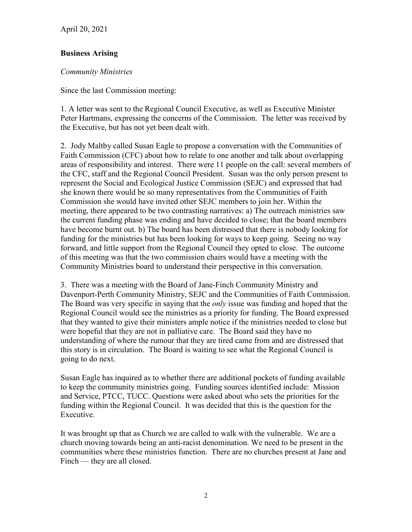April 20, 2021

# **Business Arising**

# *Community Ministries*

Since the last Commission meeting:

1. A letter was sent to the Regional Council Executive, as well as Executive Minister Peter Hartmans, expressing the concerns of the Commission. The letter was received by the Executive, but has not yet been dealt with.

2. Jody Maltby called Susan Eagle to propose a conversation with the Communities of Faith Commission (CFC) about how to relate to one another and talk about overlapping areas of responsibility and interest. There were 11 people on the call: several members of the CFC, staff and the Regional Council President. Susan was the only person present to represent the Social and Ecological Justice Commission (SEJC) and expressed that had she known there would be so many representatives from the Communities of Faith Commission she would have invited other SEJC members to join her. Within the meeting, there appeared to be two contrasting narratives: a) The outreach ministries saw the current funding phase was ending and have decided to close; that the board members have become burnt out. b) The board has been distressed that there is nobody looking for funding for the ministries but has been looking for ways to keep going. Seeing no way forward, and little support from the Regional Council they opted to close. The outcome of this meeting was that the two commission chairs would have a meeting with the Community Ministries board to understand their perspective in this conversation.

3. There was a meeting with the Board of Jane-Finch Community Ministry and Davenport-Perth Community Ministry, SEJC and the Communities of Faith Commission. The Board was very specific in saying that the *only* issue was funding and hoped that the Regional Council would see the ministries as a priority for funding. The Board expressed that they wanted to give their ministers ample notice if the ministries needed to close but were hopeful that they are not in palliative care. The Board said they have no understanding of where the rumour that they are tired came from and are distressed that this story is in circulation. The Board is waiting to see what the Regional Council is going to do next.

Susan Eagle has inquired as to whether there are additional pockets of funding available to keep the community ministries going. Funding sources identified include: Mission and Service, PTCC, TUCC. Questions were asked about who sets the priorities for the funding within the Regional Council. It was decided that this is the question for the Executive.

It was brought up that as Church we are called to walk with the vulnerable. We are a church moving towards being an anti-racist denomination. We need to be present in the communities where these ministries function. There are no churches present at Jane and Finch — they are all closed.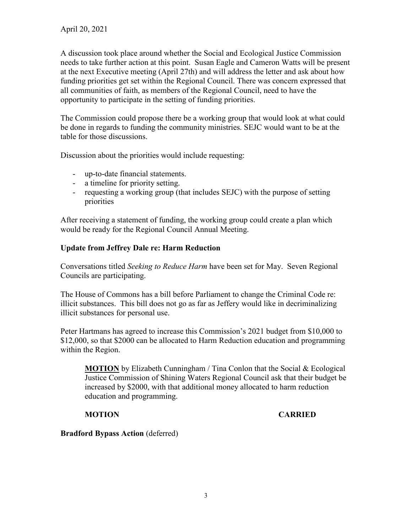April 20, 2021

A discussion took place around whether the Social and Ecological Justice Commission needs to take further action at this point. Susan Eagle and Cameron Watts will be present at the next Executive meeting (April 27th) and will address the letter and ask about how funding priorities get set within the Regional Council. There was concern expressed that all communities of faith, as members of the Regional Council, need to have the opportunity to participate in the setting of funding priorities.

The Commission could propose there be a working group that would look at what could be done in regards to funding the community ministries. SEJC would want to be at the table for those discussions.

Discussion about the priorities would include requesting:

- up-to-date financial statements.
- a timeline for priority setting.
- requesting a working group (that includes SEJC) with the purpose of setting priorities

After receiving a statement of funding, the working group could create a plan which would be ready for the Regional Council Annual Meeting.

# **Update from Jeffrey Dale re: Harm Reduction**

Conversations titled *Seeking to Reduce Harm* have been set for May. Seven Regional Councils are participating.

The House of Commons has a bill before Parliament to change the Criminal Code re: illicit substances. This bill does not go as far as Jeffery would like in decriminalizing illicit substances for personal use.

Peter Hartmans has agreed to increase this Commission's 2021 budget from \$10,000 to \$12,000, so that \$2000 can be allocated to Harm Reduction education and programming within the Region.

**MOTION** by Elizabeth Cunningham / Tina Conlon that the Social & Ecological Justice Commission of Shining Waters Regional Council ask that their budget be increased by \$2000, with that additional money allocated to harm reduction education and programming.

# **MOTION CARRIED**

**Bradford Bypass Action** (deferred)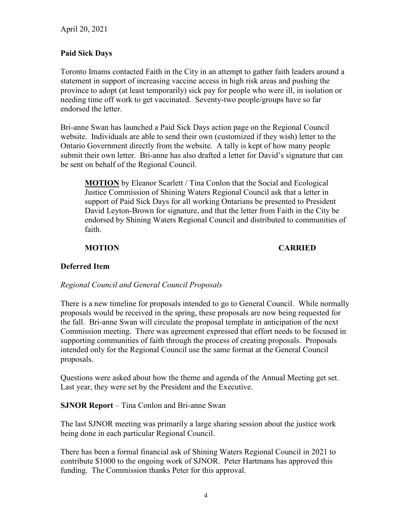# **Paid Sick Days**

Toronto Imams contacted Faith in the City in an attempt to gather faith leaders around a statement in support of increasing vaccine access in high risk areas and pushing the province to adopt (at least temporarily) sick pay for people who were ill, in isolation or needing time off work to get vaccinated. Seventy-two people/groups have so far endorsed the letter.

Bri-anne Swan has launched a Paid Sick Days action page on the Regional Council website. Individuals are able to send their own (customized if they wish) letter to the Ontario Government directly from the website. A tally is kept of how many people submit their own letter. Bri-anne has also drafted a letter for David's signature that can be sent on behalf of the Regional Council.

**MOTION** by Eleanor Scarlett / Tina Conlon that the Social and Ecological Justice Commission of Shining Waters Regional Council ask that a letter in support of Paid Sick Days for all working Ontarians be presented to President David Leyton-Brown for signature, and that the letter from Faith in the City be endorsed by Shining Waters Regional Council and distributed to communities of faith.

# **MOTION CARRIED**

# **Deferred Item**

#### *Regional Council and General Council Proposals*

There is a new timeline for proposals intended to go to General Council. While normally proposals would be received in the spring, these proposals are now being requested for the fall. Bri-anne Swan will circulate the proposal template in anticipation of the next Commission meeting. There was agreement expressed that effort needs to be focused in supporting communities of faith through the process of creating proposals. Proposals intended only for the Regional Council use the same format at the General Council proposals.

Questions were asked about how the theme and agenda of the Annual Meeting get set. Last year, they were set by the President and the Executive.

**SJNOR Report** – Tina Conlon and Bri-anne Swan

The last SJNOR meeting was primarily a large sharing session about the justice work being done in each particular Regional Council.

There has been a formal financial ask of Shining Waters Regional Council in 2021 to contribute \$1000 to the ongoing work of SJNOR. Peter Hartmans has approved this funding. The Commission thanks Peter for this approval.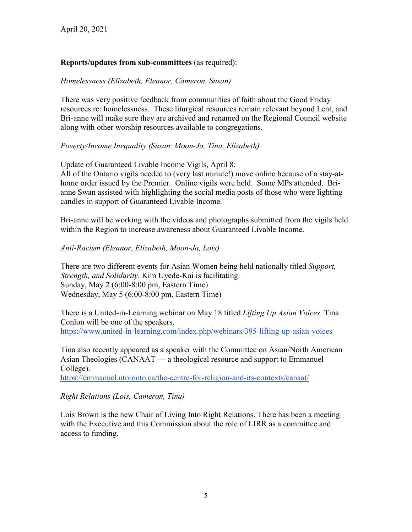# **Reports/updates from sub-committees** (as required):

#### *Homelessness (Elizabeth, Eleanor, Cameron, Susan)*

There was very positive feedback from communities of faith about the Good Friday resources re: homelessness. These liturgical resources remain relevant beyond Lent, and Bri-anne will make sure they are archived and renamed on the Regional Council website along with other worship resources available to congregations.

# *Poverty/Income Inequality (Susan, Moon-Ja, Tina, Elizabeth)*

Update of Guaranteed Livable Income Vigils, April 8: All of the Ontario vigils needed to (very last minute!) move online because of a stay-athome order issued by the Premier. Online vigils were held. Some MPs attended. Brianne Swan assisted with highlighting the social media posts of those who were lighting candles in support of Guaranteed Livable Income.

Bri-anne will be working with the videos and photographs submitted from the vigils held within the Region to increase awareness about Guaranteed Livable Income.

#### *Anti-Racism (Eleanor, Elizabeth, Moon-Ja, Lois)*

There are two different events for Asian Women being held nationally titled *Support, Strength, and Solidarity*. Kim Uyede-Kai is facilitating. Sunday, May 2 (6:00-8:00 pm, Eastern Time) Wednesday, May 5 (6:00-8:00 pm, Eastern Time)

There is a United-in-Learning webinar on May 18 titled *Lifting Up Asian Voices*. Tina Conlon will be one of the speakers. <https://www.united-in-learning.com/index.php/webinars/395-lifting-up-asian-voices>

Tina also recently appeared as a speaker with the Committee on Asian/North American Asian Theologies (CANAAT — a theological resource and support to Emmanuel College).

<https://emmanuel.utoronto.ca/the-centre-for-religion-and-its-contexts/canaat/>

#### *Right Relations (Lois, Cameron, Tina)*

Lois Brown is the new Chair of Living Into Right Relations. There has been a meeting with the Executive and this Commission about the role of LIRR as a committee and access to funding.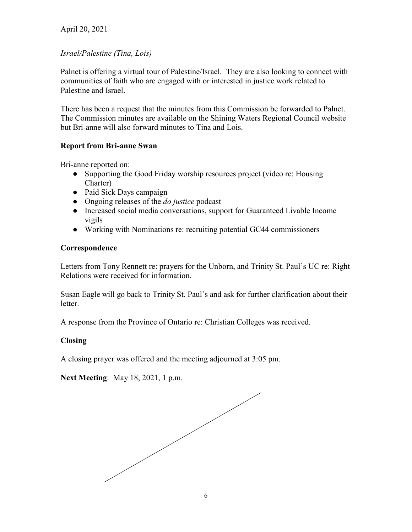# April 20, 2021

# *Israel/Palestine (Tina, Lois)*

Palnet is offering a virtual tour of Palestine/Israel. They are also looking to connect with communities of faith who are engaged with or interested in justice work related to Palestine and Israel.

There has been a request that the minutes from this Commission be forwarded to Palnet. The Commission minutes are available on the Shining Waters Regional Council website but Bri-anne will also forward minutes to Tina and Lois.

# **Report from Bri-anne Swan**

Bri-anne reported on:

- Supporting the Good Friday worship resources project (video re: Housing Charter)
- Paid Sick Days campaign
- Ongoing releases of the *do justice* podcast
- Increased social media conversations, support for Guaranteed Livable Income vigils
- Working with Nominations re: recruiting potential GC44 commissioners

# **Correspondence**

Letters from Tony Rennett re: prayers for the Unborn, and Trinity St. Paul's UC re: Right Relations were received for information.

Susan Eagle will go back to Trinity St. Paul's and ask for further clarification about their letter.

A response from the Province of Ontario re: Christian Colleges was received.

# **Closing**

A closing prayer was offered and the meeting adjourned at 3:05 pm.

**Next Meeting**: May 18, 2021, 1 p.m.

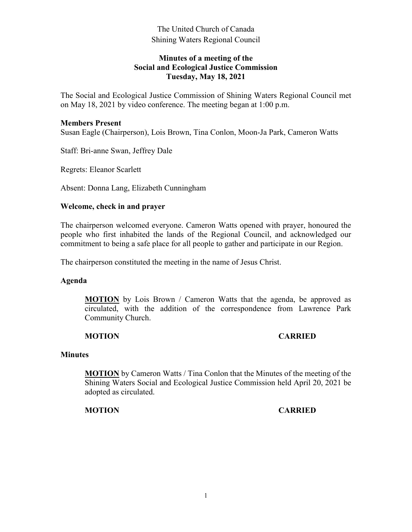# **Minutes of a meeting of the Social and Ecological Justice Commission Tuesday, May 18, 2021**

The Social and Ecological Justice Commission of Shining Waters Regional Council met on May 18, 2021 by video conference. The meeting began at 1:00 p.m.

#### **Members Present**

Susan Eagle (Chairperson), Lois Brown, Tina Conlon, Moon-Ja Park, Cameron Watts

Staff: Bri-anne Swan, Jeffrey Dale

Regrets: Eleanor Scarlett

Absent: Donna Lang, Elizabeth Cunningham

#### **Welcome, check in and prayer**

The chairperson welcomed everyone. Cameron Watts opened with prayer, honoured the people who first inhabited the lands of the Regional Council, and acknowledged our commitment to being a safe place for all people to gather and participate in our Region.

The chairperson constituted the meeting in the name of Jesus Christ.

#### **Agenda**

**MOTION** by Lois Brown / Cameron Watts that the agenda, be approved as circulated, with the addition of the correspondence from Lawrence Park Community Church.

#### **MOTION CARRIED**

#### **Minutes**

**MOTION** by Cameron Watts / Tina Conlon that the Minutes of the meeting of the Shining Waters Social and Ecological Justice Commission held April 20, 2021 be adopted as circulated.

#### **MOTION CARRIED**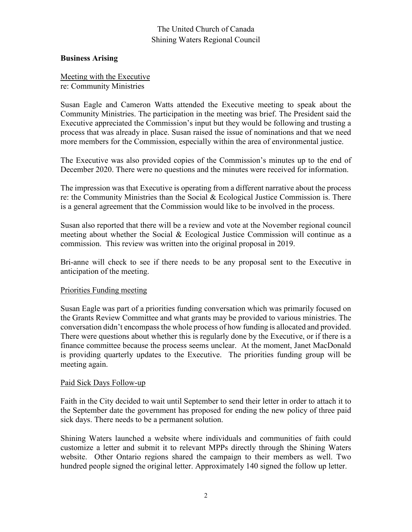#### **Business Arising**

Meeting with the Executive re: Community Ministries

Susan Eagle and Cameron Watts attended the Executive meeting to speak about the Community Ministries. The participation in the meeting was brief. The President said the Executive appreciated the Commission's input but they would be following and trusting a process that was already in place. Susan raised the issue of nominations and that we need more members for the Commission, especially within the area of environmental justice.

The Executive was also provided copies of the Commission's minutes up to the end of December 2020. There were no questions and the minutes were received for information.

The impression was that Executive is operating from a different narrative about the process re: the Community Ministries than the Social & Ecological Justice Commission is. There is a general agreement that the Commission would like to be involved in the process.

Susan also reported that there will be a review and vote at the November regional council meeting about whether the Social & Ecological Justice Commission will continue as a commission. This review was written into the original proposal in 2019.

Bri-anne will check to see if there needs to be any proposal sent to the Executive in anticipation of the meeting.

#### Priorities Funding meeting

Susan Eagle was part of a priorities funding conversation which was primarily focused on the Grants Review Committee and what grants may be provided to various ministries. The conversation didn't encompass the whole process of how funding is allocated and provided. There were questions about whether this is regularly done by the Executive, or if there is a finance committee because the process seems unclear. At the moment, Janet MacDonald is providing quarterly updates to the Executive. The priorities funding group will be meeting again.

#### Paid Sick Days Follow-up

Faith in the City decided to wait until September to send their letter in order to attach it to the September date the government has proposed for ending the new policy of three paid sick days. There needs to be a permanent solution.

Shining Waters launched a website where individuals and communities of faith could customize a letter and submit it to relevant MPPs directly through the Shining Waters website. Other Ontario regions shared the campaign to their members as well. Two hundred people signed the original letter. Approximately 140 signed the follow up letter.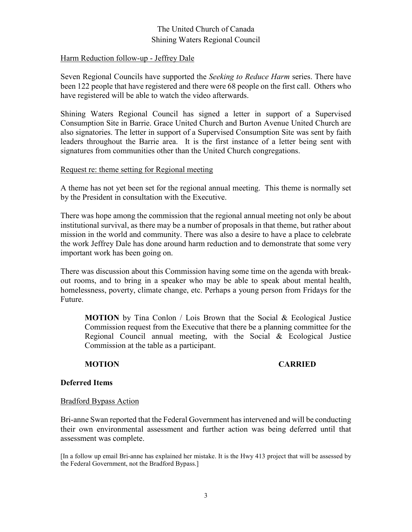#### Harm Reduction follow-up - Jeffrey Dale

Seven Regional Councils have supported the *Seeking to Reduce Harm* series. There have been 122 people that have registered and there were 68 people on the first call. Others who have registered will be able to watch the video afterwards.

Shining Waters Regional Council has signed a letter in support of a Supervised Consumption Site in Barrie. Grace United Church and Burton Avenue United Church are also signatories. The letter in support of a Supervised Consumption Site was sent by faith leaders throughout the Barrie area. It is the first instance of a letter being sent with signatures from communities other than the United Church congregations.

#### Request re: theme setting for Regional meeting

A theme has not yet been set for the regional annual meeting. This theme is normally set by the President in consultation with the Executive.

There was hope among the commission that the regional annual meeting not only be about institutional survival, as there may be a number of proposals in that theme, but rather about mission in the world and community. There was also a desire to have a place to celebrate the work Jeffrey Dale has done around harm reduction and to demonstrate that some very important work has been going on.

There was discussion about this Commission having some time on the agenda with breakout rooms, and to bring in a speaker who may be able to speak about mental health, homelessness, poverty, climate change, etc. Perhaps a young person from Fridays for the Future.

**MOTION** by Tina Conlon / Lois Brown that the Social & Ecological Justice Commission request from the Executive that there be a planning committee for the Regional Council annual meeting, with the Social & Ecological Justice Commission at the table as a participant.

#### **MOTION CARRIED**

#### **Deferred Items**

#### Bradford Bypass Action

Bri-anne Swan reported that the Federal Government has intervened and will be conducting their own environmental assessment and further action was being deferred until that assessment was complete.

[In a follow up email Bri-anne has explained her mistake. It is the Hwy 413 project that will be assessed by the Federal Government, not the Bradford Bypass.]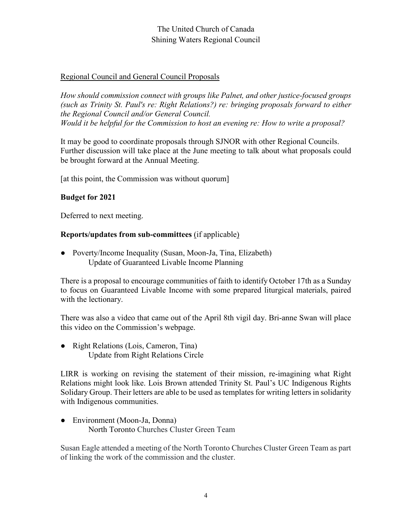# Regional Council and General Council Proposals

*How should commission connect with groups like Palnet, and other justice-focused groups (such as Trinity St. Paul's re: Right Relations?) re: bringing proposals forward to either the Regional Council and/or General Council. Would it be helpful for the Commission to host an evening re: How to write a proposal?* 

It may be good to coordinate proposals through SJNOR with other Regional Councils. Further discussion will take place at the June meeting to talk about what proposals could be brought forward at the Annual Meeting.

[at this point, the Commission was without quorum]

# **Budget for 2021**

Deferred to next meeting.

# **Reports/updates from sub-committees** (if applicable)

• Poverty/Income Inequality (Susan, Moon-Ja, Tina, Elizabeth) Update of Guaranteed Livable Income Planning

There is a proposal to encourage communities of faith to identify October 17th as a Sunday to focus on Guaranteed Livable Income with some prepared liturgical materials, paired with the lectionary.

There was also a video that came out of the April 8th vigil day. Bri-anne Swan will place this video on the Commission's webpage.

● Right Relations (Lois, Cameron, Tina) Update from Right Relations Circle

LIRR is working on revising the statement of their mission, re-imagining what Right Relations might look like. Lois Brown attended Trinity St. Paul's UC Indigenous Rights Solidary Group. Their letters are able to be used as templates for writing letters in solidarity with Indigenous communities.

• Environment (Moon-Ja, Donna) North Toronto Churches Cluster Green Team

Susan Eagle attended a meeting of the North Toronto Churches Cluster Green Team as part of linking the work of the commission and the cluster.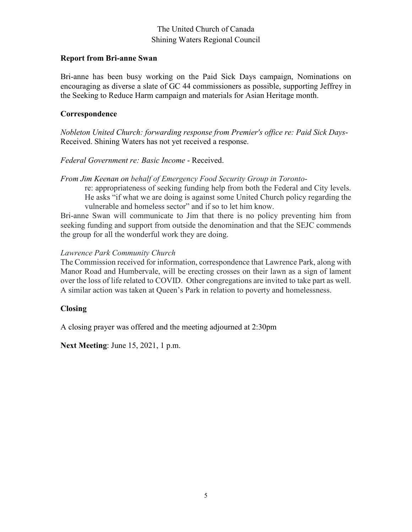#### **Report from Bri-anne Swan**

Bri-anne has been busy working on the Paid Sick Days campaign, Nominations on encouraging as diverse a slate of GC 44 commissioners as possible, supporting Jeffrey in the Seeking to Reduce Harm campaign and materials for Asian Heritage month.

### **Correspondence**

*Nobleton United Church: forwarding response from Premier's office re: Paid Sick Days*-Received. Shining Waters has not yet received a response.

# *Federal Government re: Basic Income* - Received.

*From Jim Keenan on behalf of Emergency Food Security Group in Toronto*-

re: appropriateness of seeking funding help from both the Federal and City levels. He asks "if what we are doing is against some United Church policy regarding the vulnerable and homeless sector" and if so to let him know.

Bri-anne Swan will communicate to Jim that there is no policy preventing him from seeking funding and support from outside the denomination and that the SEJC commends the group for all the wonderful work they are doing.

# *Lawrence Park Community Church*

The Commission received for information, correspondence that Lawrence Park, along with Manor Road and Humbervale, will be erecting crosses on their lawn as a sign of lament over the loss of life related to COVID. Other congregations are invited to take part as well. A similar action was taken at Queen's Park in relation to poverty and homelessness.

# **Closing**

A closing prayer was offered and the meeting adjourned at 2:30pm

**Next Meeting**: June 15, 2021, 1 p.m.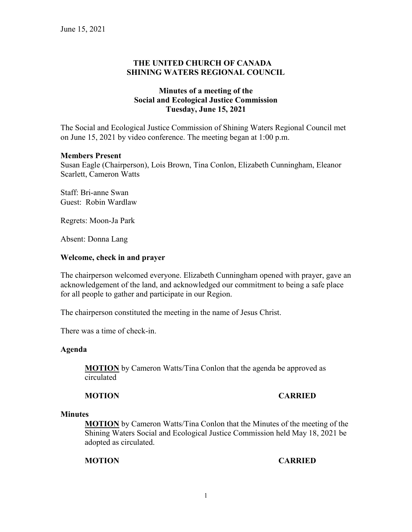# **THE UNITED CHURCH OF CANADA SHINING WATERS REGIONAL COUNCIL**

# **Minutes of a meeting of the Social and Ecological Justice Commission Tuesday, June 15, 2021**

The Social and Ecological Justice Commission of Shining Waters Regional Council met on June 15, 2021 by video conference. The meeting began at 1:00 p.m.

#### **Members Present**

Susan Eagle (Chairperson), Lois Brown, Tina Conlon, Elizabeth Cunningham, Eleanor Scarlett, Cameron Watts

Staff: Bri-anne Swan Guest: Robin Wardlaw

Regrets: Moon-Ja Park

Absent: Donna Lang

#### **Welcome, check in and prayer**

The chairperson welcomed everyone. Elizabeth Cunningham opened with prayer, gave an acknowledgement of the land, and acknowledged our commitment to being a safe place for all people to gather and participate in our Region.

The chairperson constituted the meeting in the name of Jesus Christ.

There was a time of check-in.

#### **Agenda**

**MOTION** by Cameron Watts/Tina Conlon that the agenda be approved as circulated

#### **MOTION CARRIED**

#### **Minutes**

**MOTION** by Cameron Watts/Tina Conlon that the Minutes of the meeting of the Shining Waters Social and Ecological Justice Commission held May 18, 2021 be adopted as circulated.

#### **MOTION CARRIED**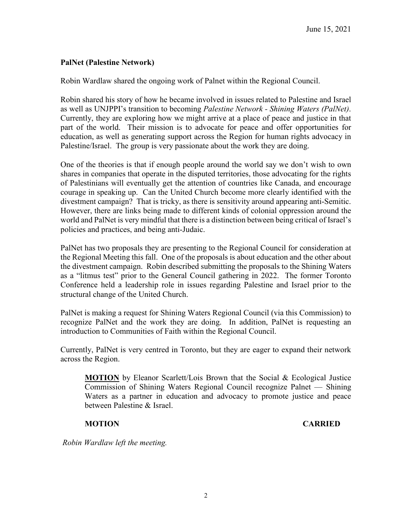# **PalNet (Palestine Network)**

Robin Wardlaw shared the ongoing work of Palnet within the Regional Council.

Robin shared his story of how he became involved in issues related to Palestine and Israel as well as UNJPPI's transition to becoming *Palestine Network - Shining Waters (PalNet)*. Currently, they are exploring how we might arrive at a place of peace and justice in that part of the world. Their mission is to advocate for peace and offer opportunities for education, as well as generating support across the Region for human rights advocacy in Palestine/Israel. The group is very passionate about the work they are doing.

One of the theories is that if enough people around the world say we don't wish to own shares in companies that operate in the disputed territories, those advocating for the rights of Palestinians will eventually get the attention of countries like Canada, and encourage courage in speaking up. Can the United Church become more clearly identified with the divestment campaign? That is tricky, as there is sensitivity around appearing anti-Semitic. However, there are links being made to different kinds of colonial oppression around the world and PalNet is very mindful that there is a distinction between being critical of Israel's policies and practices, and being anti-Judaic.

PalNet has two proposals they are presenting to the Regional Council for consideration at the Regional Meeting this fall. One of the proposals is about education and the other about the divestment campaign. Robin described submitting the proposals to the Shining Waters as a "litmus test" prior to the General Council gathering in 2022. The former Toronto Conference held a leadership role in issues regarding Palestine and Israel prior to the structural change of the United Church.

PalNet is making a request for Shining Waters Regional Council (via this Commission) to recognize PalNet and the work they are doing. In addition, PalNet is requesting an introduction to Communities of Faith within the Regional Council.

Currently, PalNet is very centred in Toronto, but they are eager to expand their network across the Region.

**MOTION** by Eleanor Scarlett/Lois Brown that the Social & Ecological Justice Commission of Shining Waters Regional Council recognize Palnet — Shining Waters as a partner in education and advocacy to promote justice and peace between Palestine & Israel.

#### **MOTION CARRIED**

*Robin Wardlaw left the meeting.*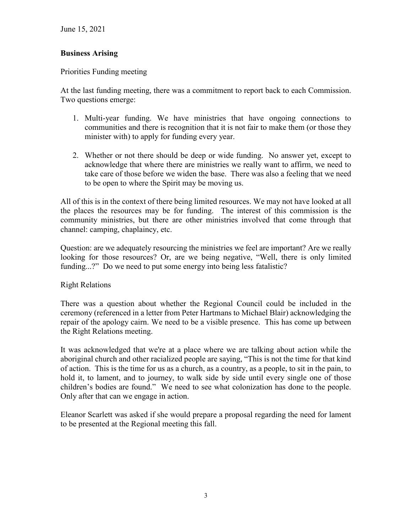June 15, 2021

# **Business Arising**

Priorities Funding meeting

At the last funding meeting, there was a commitment to report back to each Commission. Two questions emerge:

- 1. Multi-year funding. We have ministries that have ongoing connections to communities and there is recognition that it is not fair to make them (or those they minister with) to apply for funding every year.
- 2. Whether or not there should be deep or wide funding. No answer yet, except to acknowledge that where there are ministries we really want to affirm, we need to take care of those before we widen the base. There was also a feeling that we need to be open to where the Spirit may be moving us.

All of this is in the context of there being limited resources. We may not have looked at all the places the resources may be for funding. The interest of this commission is the community ministries, but there are other ministries involved that come through that channel: camping, chaplaincy, etc.

Question: are we adequately resourcing the ministries we feel are important? Are we really looking for those resources? Or, are we being negative, "Well, there is only limited funding...?" Do we need to put some energy into being less fatalistic?

# Right Relations

There was a question about whether the Regional Council could be included in the ceremony (referenced in a letter from Peter Hartmans to Michael Blair) acknowledging the repair of the apology cairn. We need to be a visible presence. This has come up between the Right Relations meeting.

It was acknowledged that we're at a place where we are talking about action while the aboriginal church and other racialized people are saying, "This is not the time for that kind of action. This is the time for us as a church, as a country, as a people, to sit in the pain, to hold it, to lament, and to journey, to walk side by side until every single one of those children's bodies are found." We need to see what colonization has done to the people. Only after that can we engage in action.

Eleanor Scarlett was asked if she would prepare a proposal regarding the need for lament to be presented at the Regional meeting this fall.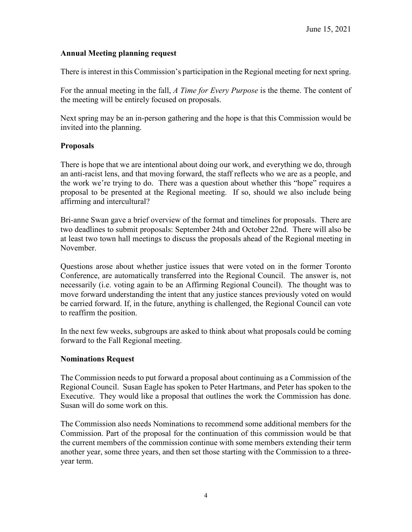# **Annual Meeting planning request**

There is interest in this Commission's participation in the Regional meeting for next spring.

For the annual meeting in the fall, *A Time for Every Purpose* is the theme. The content of the meeting will be entirely focused on proposals.

Next spring may be an in-person gathering and the hope is that this Commission would be invited into the planning.

# **Proposals**

There is hope that we are intentional about doing our work, and everything we do, through an anti-racist lens, and that moving forward, the staff reflects who we are as a people, and the work we're trying to do. There was a question about whether this "hope" requires a proposal to be presented at the Regional meeting. If so, should we also include being affirming and intercultural?

Bri-anne Swan gave a brief overview of the format and timelines for proposals. There are two deadlines to submit proposals: September 24th and October 22nd. There will also be at least two town hall meetings to discuss the proposals ahead of the Regional meeting in November.

Questions arose about whether justice issues that were voted on in the former Toronto Conference, are automatically transferred into the Regional Council. The answer is, not necessarily (i.e. voting again to be an Affirming Regional Council). The thought was to move forward understanding the intent that any justice stances previously voted on would be carried forward. If, in the future, anything is challenged, the Regional Council can vote to reaffirm the position.

In the next few weeks, subgroups are asked to think about what proposals could be coming forward to the Fall Regional meeting.

#### **Nominations Request**

The Commission needs to put forward a proposal about continuing as a Commission of the Regional Council. Susan Eagle has spoken to Peter Hartmans, and Peter has spoken to the Executive. They would like a proposal that outlines the work the Commission has done. Susan will do some work on this.

The Commission also needs Nominations to recommend some additional members for the Commission. Part of the proposal for the continuation of this commission would be that the current members of the commission continue with some members extending their term another year, some three years, and then set those starting with the Commission to a threeyear term.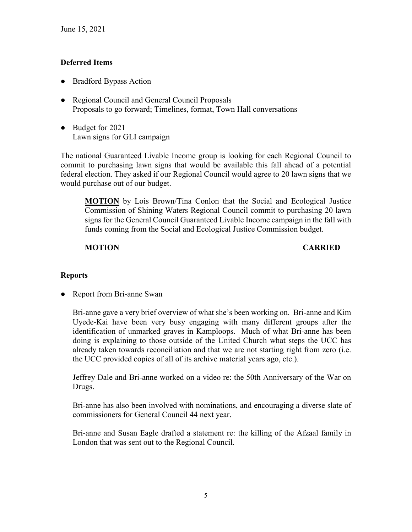# **Deferred Items**

- Bradford Bypass Action
- Regional Council and General Council Proposals Proposals to go forward; Timelines, format, Town Hall conversations
- Budget for 2021 Lawn signs for GLI campaign

The national Guaranteed Livable Income group is looking for each Regional Council to commit to purchasing lawn signs that would be available this fall ahead of a potential federal election. They asked if our Regional Council would agree to 20 lawn signs that we would purchase out of our budget.

**MOTION** by Lois Brown/Tina Conlon that the Social and Ecological Justice Commission of Shining Waters Regional Council commit to purchasing 20 lawn signs for the General Council Guaranteed Livable Income campaign in the fall with funds coming from the Social and Ecological Justice Commission budget.

# **MOTION CARRIED**

# **Reports**

• Report from Bri-anne Swan

Bri-anne gave a very brief overview of what she's been working on. Bri-anne and Kim Uyede-Kai have been very busy engaging with many different groups after the identification of unmarked graves in Kamploops. Much of what Bri-anne has been doing is explaining to those outside of the United Church what steps the UCC has already taken towards reconciliation and that we are not starting right from zero (i.e. the UCC provided copies of all of its archive material years ago, etc.).

Jeffrey Dale and Bri-anne worked on a video re: the 50th Anniversary of the War on Drugs.

Bri-anne has also been involved with nominations, and encouraging a diverse slate of commissioners for General Council 44 next year.

Bri-anne and Susan Eagle drafted a statement re: the killing of the Afzaal family in London that was sent out to the Regional Council.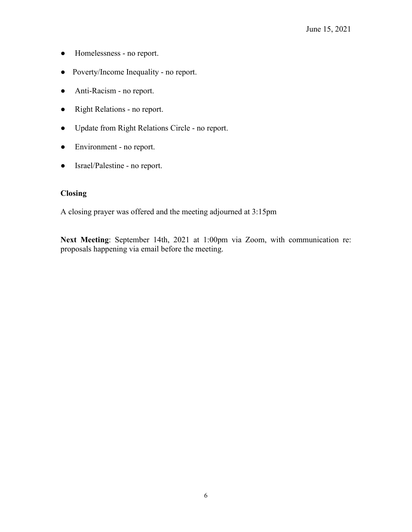- Homelessness no report.
- Poverty/Income Inequality no report.
- Anti-Racism no report.
- Right Relations no report.
- Update from Right Relations Circle no report.
- Environment no report.
- Israel/Palestine no report.

# **Closing**

A closing prayer was offered and the meeting adjourned at 3:15pm

**Next Meeting**: September 14th, 2021 at 1:00pm via Zoom, with communication re: proposals happening via email before the meeting.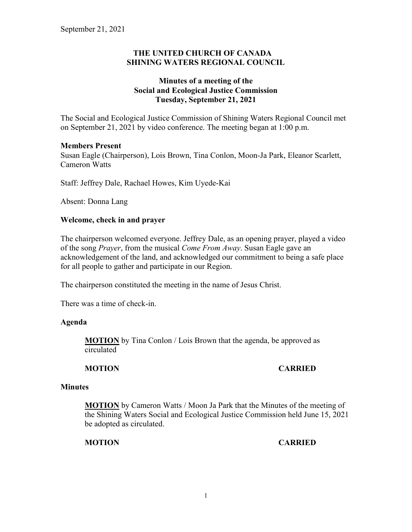# **THE UNITED CHURCH OF CANADA SHINING WATERS REGIONAL COUNCIL**

# **Minutes of a meeting of the Social and Ecological Justice Commission Tuesday, September 21, 2021**

The Social and Ecological Justice Commission of Shining Waters Regional Council met on September 21, 2021 by video conference. The meeting began at 1:00 p.m.

# **Members Present**

Susan Eagle (Chairperson), Lois Brown, Tina Conlon, Moon-Ja Park, Eleanor Scarlett, Cameron Watts

Staff: Jeffrey Dale, Rachael Howes, Kim Uyede-Kai

Absent: Donna Lang

# **Welcome, check in and prayer**

The chairperson welcomed everyone. Jeffrey Dale, as an opening prayer, played a video of the song *Prayer*, from the musical *Come From Away*. Susan Eagle gave an acknowledgement of the land, and acknowledged our commitment to being a safe place for all people to gather and participate in our Region.

The chairperson constituted the meeting in the name of Jesus Christ.

There was a time of check-in.

#### **Agenda**

**MOTION** by Tina Conlon / Lois Brown that the agenda, be approved as circulated

# **MOTION CARRIED**

#### **Minutes**

**MOTION** by Cameron Watts / Moon Ja Park that the Minutes of the meeting of the Shining Waters Social and Ecological Justice Commission held June 15, 2021 be adopted as circulated.

**MOTION CARRIED**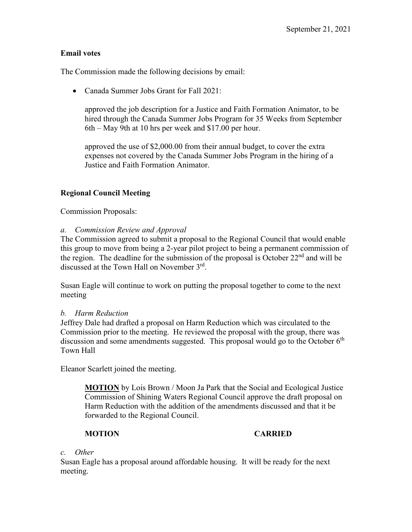# **Email votes**

The Commission made the following decisions by email:

• Canada Summer Jobs Grant for Fall 2021:

approved the job description for a Justice and Faith Formation Animator, to be hired through the Canada Summer Jobs Program for 35 Weeks from September 6th – May 9th at 10 hrs per week and \$17.00 per hour.

approved the use of \$2,000.00 from their annual budget, to cover the extra expenses not covered by the Canada Summer Jobs Program in the hiring of a Justice and Faith Formation Animator.

# **Regional Council Meeting**

Commission Proposals:

*a. Commission Review and Approval*

The Commission agreed to submit a proposal to the Regional Council that would enable this group to move from being a 2-year pilot project to being a permanent commission of the region. The deadline for the submission of the proposal is October  $22<sup>nd</sup>$  and will be discussed at the Town Hall on November 3rd.

Susan Eagle will continue to work on putting the proposal together to come to the next meeting

# *b. Harm Reduction*

Jeffrey Dale had drafted a proposal on Harm Reduction which was circulated to the Commission prior to the meeting. He reviewed the proposal with the group, there was discussion and some amendments suggested. This proposal would go to the October  $6<sup>th</sup>$ Town Hall

Eleanor Scarlett joined the meeting.

**MOTION** by Lois Brown / Moon Ja Park that the Social and Ecological Justice Commission of Shining Waters Regional Council approve the draft proposal on Harm Reduction with the addition of the amendments discussed and that it be forwarded to the Regional Council.

# **MOTION CARRIED**

# *c. Other*

Susan Eagle has a proposal around affordable housing. It will be ready for the next meeting.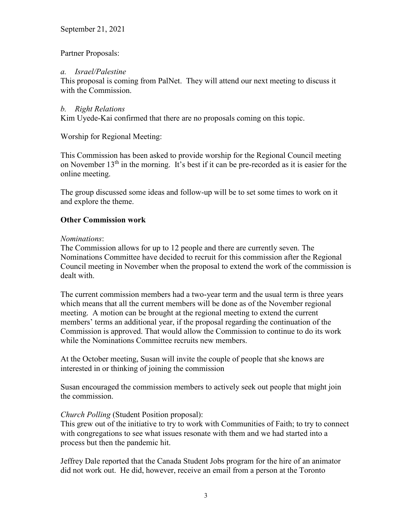# Partner Proposals:

### *a. Israel/Palestine*

This proposal is coming from PalNet. They will attend our next meeting to discuss it with the Commission.

### *b. Right Relations*

Kim Uyede-Kai confirmed that there are no proposals coming on this topic.

Worship for Regional Meeting:

This Commission has been asked to provide worship for the Regional Council meeting on November  $13<sup>th</sup>$  in the morning. It's best if it can be pre-recorded as it is easier for the online meeting.

The group discussed some ideas and follow-up will be to set some times to work on it and explore the theme.

# **Other Commission work**

#### *Nominations*:

The Commission allows for up to 12 people and there are currently seven. The Nominations Committee have decided to recruit for this commission after the Regional Council meeting in November when the proposal to extend the work of the commission is dealt with.

The current commission members had a two-year term and the usual term is three years which means that all the current members will be done as of the November regional meeting. A motion can be brought at the regional meeting to extend the current members' terms an additional year, if the proposal regarding the continuation of the Commission is approved. That would allow the Commission to continue to do its work while the Nominations Committee recruits new members.

At the October meeting, Susan will invite the couple of people that she knows are interested in or thinking of joining the commission

Susan encouraged the commission members to actively seek out people that might join the commission.

#### *Church Polling* (Student Position proposal):

This grew out of the initiative to try to work with Communities of Faith; to try to connect with congregations to see what issues resonate with them and we had started into a process but then the pandemic hit.

Jeffrey Dale reported that the Canada Student Jobs program for the hire of an animator did not work out. He did, however, receive an email from a person at the Toronto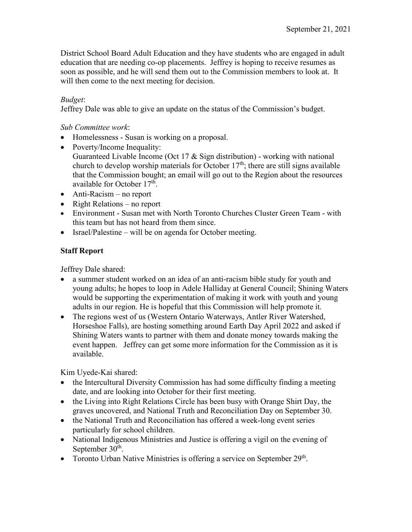District School Board Adult Education and they have students who are engaged in adult education that are needing co-op placements. Jeffrey is hoping to receive resumes as soon as possible, and he will send them out to the Commission members to look at. It will then come to the next meeting for decision.

# *Budget*:

Jeffrey Dale was able to give an update on the status of the Commission's budget.

# *Sub Committee work*:

- Homelessness Susan is working on a proposal.
- Poverty/Income Inequality: Guaranteed Livable Income (Oct 17 & Sign distribution) - working with national church to develop worship materials for October  $17<sup>th</sup>$ ; there are still signs available that the Commission bought; an email will go out to the Region about the resources available for October 17<sup>th</sup>.
- Anti-Racism no report
- Right Relations no report
- Environment Susan met with North Toronto Churches Cluster Green Team with this team but has not heard from them since.
- Israel/Palestine will be on agenda for October meeting.

# **Staff Report**

Jeffrey Dale shared:

- a summer student worked on an idea of an anti-racism bible study for youth and young adults; he hopes to loop in Adele Halliday at General Council; Shining Waters would be supporting the experimentation of making it work with youth and young adults in our region. He is hopeful that this Commission will help promote it.
- The regions west of us (Western Ontario Waterways, Antler River Watershed, Horseshoe Falls), are hosting something around Earth Day April 2022 and asked if Shining Waters wants to partner with them and donate money towards making the event happen. Jeffrey can get some more information for the Commission as it is available.

Kim Uyede-Kai shared:

- the Intercultural Diversity Commission has had some difficulty finding a meeting date, and are looking into October for their first meeting.
- the Living into Right Relations Circle has been busy with Orange Shirt Day, the graves uncovered, and National Truth and Reconciliation Day on September 30.
- the National Truth and Reconciliation has offered a week-long event series particularly for school children.
- National Indigenous Ministries and Justice is offering a vigil on the evening of September  $30<sup>th</sup>$ .
- Toronto Urban Native Ministries is offering a service on September  $29<sup>th</sup>$ .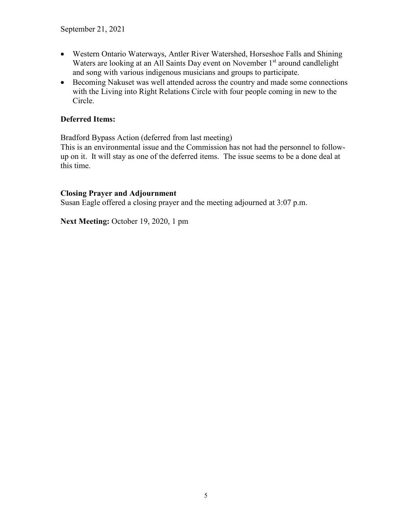- Western Ontario Waterways, Antler River Watershed, Horseshoe Falls and Shining Waters are looking at an All Saints Day event on November 1<sup>st</sup> around candlelight and song with various indigenous musicians and groups to participate.
- Becoming Nakuset was well attended across the country and made some connections with the Living into Right Relations Circle with four people coming in new to the Circle.

# **Deferred Items:**

Bradford Bypass Action (deferred from last meeting)

This is an environmental issue and the Commission has not had the personnel to followup on it. It will stay as one of the deferred items. The issue seems to be a done deal at this time.

# **Closing Prayer and Adjournment**

Susan Eagle offered a closing prayer and the meeting adjourned at 3:07 p.m.

**Next Meeting:** October 19, 2020, 1 pm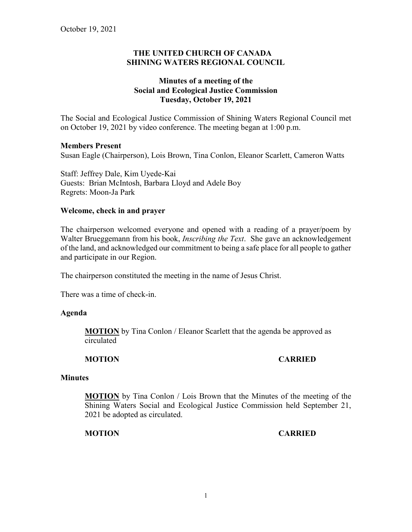### **THE UNITED CHURCH OF CANADA SHINING WATERS REGIONAL COUNCIL**

# **Minutes of a meeting of the Social and Ecological Justice Commission Tuesday, October 19, 2021**

The Social and Ecological Justice Commission of Shining Waters Regional Council met on October 19, 2021 by video conference. The meeting began at 1:00 p.m.

#### **Members Present**

Susan Eagle (Chairperson), Lois Brown, Tina Conlon, Eleanor Scarlett, Cameron Watts

Staff: Jeffrey Dale, Kim Uyede-Kai Guests: Brian McIntosh, Barbara Lloyd and Adele Boy Regrets: Moon-Ja Park

#### **Welcome, check in and prayer**

The chairperson welcomed everyone and opened with a reading of a prayer/poem by Walter Brueggemann from his book, *Inscribing the Text*. She gave an acknowledgement of the land, and acknowledged our commitment to being a safe place for all people to gather and participate in our Region.

The chairperson constituted the meeting in the name of Jesus Christ.

There was a time of check-in.

#### **Agenda**

**MOTION** by Tina Conlon / Eleanor Scarlett that the agenda be approved as circulated

#### **MOTION CARRIED**

#### **Minutes**

**MOTION** by Tina Conlon / Lois Brown that the Minutes of the meeting of the Shining Waters Social and Ecological Justice Commission held September 21, 2021 be adopted as circulated.

**MOTION CARRIED**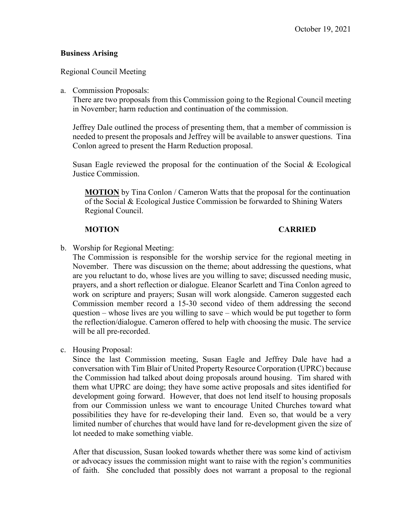### **Business Arising**

### Regional Council Meeting

#### a. Commission Proposals:

There are two proposals from this Commission going to the Regional Council meeting in November; harm reduction and continuation of the commission.

Jeffrey Dale outlined the process of presenting them, that a member of commission is needed to present the proposals and Jeffrey will be available to answer questions. Tina Conlon agreed to present the Harm Reduction proposal.

Susan Eagle reviewed the proposal for the continuation of the Social & Ecological Justice Commission.

**MOTION** by Tina Conlon / Cameron Watts that the proposal for the continuation of the Social & Ecological Justice Commission be forwarded to Shining Waters Regional Council.

#### **MOTION CARRIED**

b. Worship for Regional Meeting:

The Commission is responsible for the worship service for the regional meeting in November. There was discussion on the theme; about addressing the questions, what are you reluctant to do, whose lives are you willing to save; discussed needing music, prayers, and a short reflection or dialogue. Eleanor Scarlett and Tina Conlon agreed to work on scripture and prayers; Susan will work alongside. Cameron suggested each Commission member record a 15-30 second video of them addressing the second question – whose lives are you willing to save – which would be put together to form the reflection/dialogue. Cameron offered to help with choosing the music. The service will be all pre-recorded.

c. Housing Proposal:

Since the last Commission meeting, Susan Eagle and Jeffrey Dale have had a conversation with Tim Blair of United Property Resource Corporation (UPRC) because the Commission had talked about doing proposals around housing. Tim shared with them what UPRC are doing; they have some active proposals and sites identified for development going forward. However, that does not lend itself to housing proposals from our Commission unless we want to encourage United Churches toward what possibilities they have for re-developing their land. Even so, that would be a very limited number of churches that would have land for re-development given the size of lot needed to make something viable.

After that discussion, Susan looked towards whether there was some kind of activism or advocacy issues the commission might want to raise with the region's communities of faith. She concluded that possibly does not warrant a proposal to the regional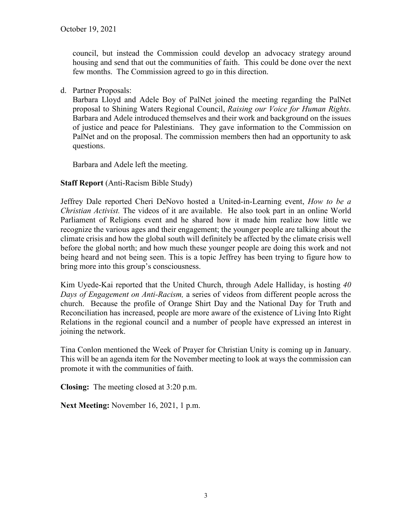council, but instead the Commission could develop an advocacy strategy around housing and send that out the communities of faith. This could be done over the next few months. The Commission agreed to go in this direction.

d. Partner Proposals:

Barbara Lloyd and Adele Boy of PalNet joined the meeting regarding the PalNet proposal to Shining Waters Regional Council, *Raising our Voice for Human Rights.*  Barbara and Adele introduced themselves and their work and background on the issues of justice and peace for Palestinians. They gave information to the Commission on PalNet and on the proposal. The commission members then had an opportunity to ask questions.

Barbara and Adele left the meeting.

# **Staff Report** (Anti-Racism Bible Study)

Jeffrey Dale reported Cheri DeNovo hosted a United-in-Learning event, *How to be a Christian Activist.* The videos of it are available. He also took part in an online World Parliament of Religions event and he shared how it made him realize how little we recognize the various ages and their engagement; the younger people are talking about the climate crisis and how the global south will definitely be affected by the climate crisis well before the global north; and how much these younger people are doing this work and not being heard and not being seen. This is a topic Jeffrey has been trying to figure how to bring more into this group's consciousness.

Kim Uyede-Kai reported that the United Church, through Adele Halliday, is hosting *40 Days of Engagement on Anti-Racism,* a series of videos from different people across the church. Because the profile of Orange Shirt Day and the National Day for Truth and Reconciliation has increased, people are more aware of the existence of Living Into Right Relations in the regional council and a number of people have expressed an interest in joining the network.

Tina Conlon mentioned the Week of Prayer for Christian Unity is coming up in January. This will be an agenda item for the November meeting to look at ways the commission can promote it with the communities of faith.

**Closing:** The meeting closed at 3:20 p.m.

**Next Meeting:** November 16, 2021, 1 p.m.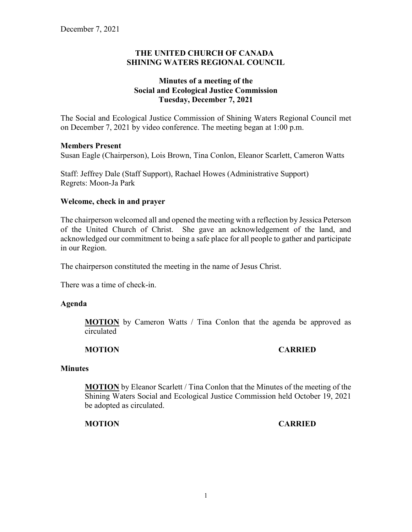# **THE UNITED CHURCH OF CANADA SHINING WATERS REGIONAL COUNCIL**

# **Minutes of a meeting of the Social and Ecological Justice Commission Tuesday, December 7, 2021**

The Social and Ecological Justice Commission of Shining Waters Regional Council met on December 7, 2021 by video conference. The meeting began at 1:00 p.m.

#### **Members Present**

Susan Eagle (Chairperson), Lois Brown, Tina Conlon, Eleanor Scarlett, Cameron Watts

Staff: Jeffrey Dale (Staff Support), Rachael Howes (Administrative Support) Regrets: Moon-Ja Park

# **Welcome, check in and prayer**

The chairperson welcomed all and opened the meeting with a reflection by Jessica Peterson of the United Church of Christ. She gave an acknowledgement of the land, and acknowledged our commitment to being a safe place for all people to gather and participate in our Region.

The chairperson constituted the meeting in the name of Jesus Christ.

There was a time of check-in.

#### **Agenda**

**MOTION** by Cameron Watts / Tina Conlon that the agenda be approved as circulated

#### **MOTION CARRIED**

#### **Minutes**

**MOTION** by Eleanor Scarlett / Tina Conlon that the Minutes of the meeting of the Shining Waters Social and Ecological Justice Commission held October 19, 2021 be adopted as circulated.

#### **MOTION CARRIED**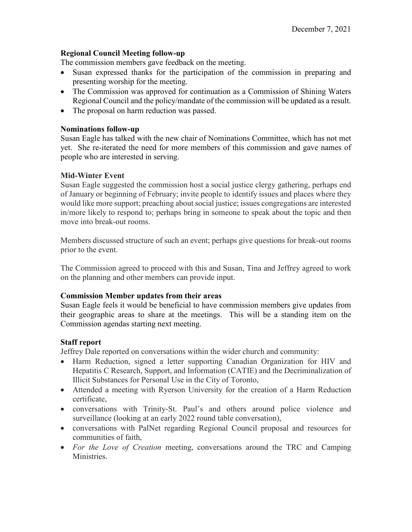#### **Regional Council Meeting follow-up**

The commission members gave feedback on the meeting.

- Susan expressed thanks for the participation of the commission in preparing and presenting worship for the meeting.
- The Commission was approved for continuation as a Commission of Shining Waters Regional Council and the policy/mandate of the commission will be updated as a result.
- The proposal on harm reduction was passed.

### **Nominations follow-up**

Susan Eagle has talked with the new chair of Nominations Committee, which has not met yet. She re-iterated the need for more members of this commission and gave names of people who are interested in serving.

# **Mid-Winter Event**

Susan Eagle suggested the commission host a social justice clergy gathering, perhaps end of January or beginning of February; invite people to identify issues and places where they would like more support; preaching about social justice; issues congregations are interested in/more likely to respond to; perhaps bring in someone to speak about the topic and then move into break-out rooms.

Members discussed structure of such an event; perhaps give questions for break-out rooms prior to the event.

The Commission agreed to proceed with this and Susan, Tina and Jeffrey agreed to work on the planning and other members can provide input.

#### **Commission Member updates from their areas**

Susan Eagle feels it would be beneficial to have commission members give updates from their geographic areas to share at the meetings. This will be a standing item on the Commission agendas starting next meeting.

#### **Staff report**

Jeffrey Dale reported on conversations within the wider church and community:

- Harm Reduction, signed a letter supporting Canadian Organization for HIV and Hepatitis C Research, Support, and Information (CATIE) and the Decriminalization of Illicit Substances for Personal Use in the City of Toronto,
- Attended a meeting with Ryerson University for the creation of a Harm Reduction certificate,
- conversations with Trinity-St. Paul's and others around police violence and surveillance (looking at an early 2022 round table conversation),
- conversations with PalNet regarding Regional Council proposal and resources for communities of faith,
- *For the Love of Creation* meeting, conversations around the TRC and Camping **Ministries**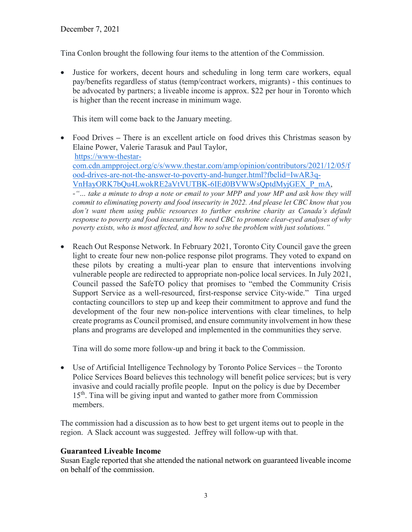Tina Conlon brought the following four items to the attention of the Commission.

• Justice for workers, decent hours and scheduling in long term care workers, equal pay/benefits regardless of status (temp/contract workers, migrants) - this continues to be advocated by partners; a liveable income is approx. \$22 per hour in Toronto which is higher than the recent increase in minimum wage.

This item will come back to the January meeting.

- Food Drives **–** There is an excellent article on food drives this Christmas season by Elaine Power, Valerie Tarasuk and Paul Taylor, [https://www-thestar](https://www-thestar-com.cdn.ampproject.org/c/s/www.thestar.com/amp/opinion/contributors/2021/12/05/food-drives-are-not-the-answer-to-poverty-and-hunger.html?fbclid=IwAR3q-VnHayORK7bQu4LwokRE2aVtVUTBK-6IEd0BVWWsQptdMyjGEX_P_mA)[com.cdn.ampproject.org/c/s/www.thestar.com/amp/opinion/contributors/2021/12/05/f](https://www-thestar-com.cdn.ampproject.org/c/s/www.thestar.com/amp/opinion/contributors/2021/12/05/food-drives-are-not-the-answer-to-poverty-and-hunger.html?fbclid=IwAR3q-VnHayORK7bQu4LwokRE2aVtVUTBK-6IEd0BVWWsQptdMyjGEX_P_mA) [ood-drives-are-not-the-answer-to-poverty-and-hunger.html?fbclid=IwAR3q-](https://www-thestar-com.cdn.ampproject.org/c/s/www.thestar.com/amp/opinion/contributors/2021/12/05/food-drives-are-not-the-answer-to-poverty-and-hunger.html?fbclid=IwAR3q-VnHayORK7bQu4LwokRE2aVtVUTBK-6IEd0BVWWsQptdMyjGEX_P_mA)[VnHayORK7bQu4LwokRE2aVtVUTBK-6IEd0BVWWsQptdMyjGEX\\_P\\_mA,](https://www-thestar-com.cdn.ampproject.org/c/s/www.thestar.com/amp/opinion/contributors/2021/12/05/food-drives-are-not-the-answer-to-poverty-and-hunger.html?fbclid=IwAR3q-VnHayORK7bQu4LwokRE2aVtVUTBK-6IEd0BVWWsQptdMyjGEX_P_mA) *-"… take a minute to drop a note or email to your MPP and your MP and ask how they will commit to eliminating poverty and food insecurity in 2022. And please let CBC know that you don't want them using public resources to further enshrine charity as Canada's default response to poverty and food insecurity. We need CBC to promote clear-eyed analyses of why poverty exists, who is most affected, and how to solve the problem with just solutions."*
- Reach Out Response Network. In February 2021, Toronto City Council gave the green light to create four new non-police response pilot programs. They voted to expand on these pilots by creating a multi-year plan to ensure that interventions involving vulnerable people are redirected to appropriate non-police local services. In July 2021, Council passed the SafeTO policy that promises to "embed the Community Crisis Support Service as a well-resourced, first-response service City-wide." Tina urged contacting councillors to step up and keep their commitment to approve and fund the development of the four new non-police interventions with clear timelines, to help create programs as Council promised, and ensure community involvement in how these plans and programs are developed and implemented in the communities they serve.

Tina will do some more follow-up and bring it back to the Commission.

• Use of Artificial Intelligence Technology by Toronto Police Services – the Toronto Police Services Board believes this technology will benefit police services; but is very invasive and could racially profile people. Input on the policy is due by December 15th. Tina will be giving input and wanted to gather more from Commission members.

The commission had a discussion as to how best to get urgent items out to people in the region. A Slack account was suggested. Jeffrey will follow-up with that.

# **Guaranteed Liveable Income**

Susan Eagle reported that she attended the national network on guaranteed liveable income on behalf of the commission.